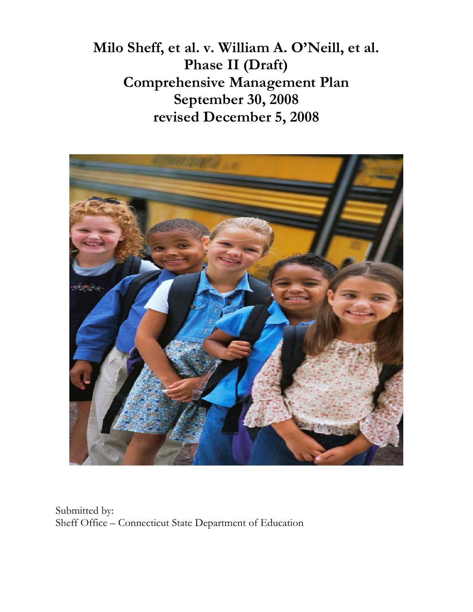**Milo Sheff, et al. v. William A. O'Neill, et al. Phase II (Draft) Comprehensive Management Plan September 30, 2008 revised December 5, 2008** 



Submitted by: Sheff Office – Connecticut State Department of Education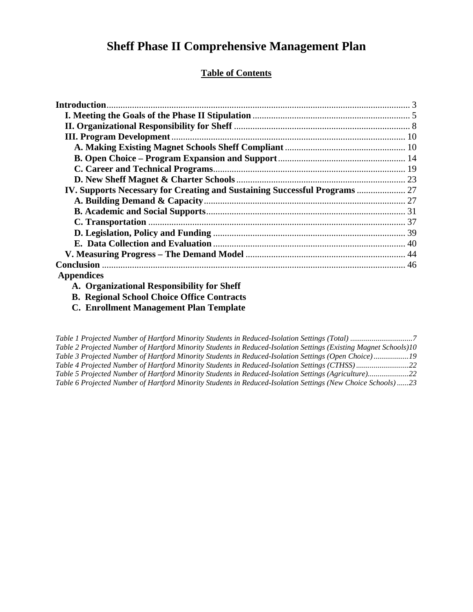# **Sheff Phase II Comprehensive Management Plan**

### **Table of Contents**

| IV. Supports Necessary for Creating and Sustaining Successful Programs  27 |  |
|----------------------------------------------------------------------------|--|
|                                                                            |  |
|                                                                            |  |
|                                                                            |  |
|                                                                            |  |
|                                                                            |  |
|                                                                            |  |
|                                                                            |  |
| <b>Appendices</b>                                                          |  |

- **A. Organizational Responsibility for Sheff**
- **B. Regional School Choice Office Contracts** 
	- **C. Enrollment Management Plan Template**

| Table 2 Projected Number of Hartford Minority Students in Reduced-Isolation Settings (Existing Magnet Schools)10 |  |
|------------------------------------------------------------------------------------------------------------------|--|
| Table 3 Projected Number of Hartford Minority Students in Reduced-Isolation Settings (Open Choice)19             |  |
| Table 4 Projected Number of Hartford Minority Students in Reduced-Isolation Settings (CTHSS)22                   |  |
| Table 5 Projected Number of Hartford Minority Students in Reduced-Isolation Settings (Agriculture)22             |  |
| Table 6 Projected Number of Hartford Minority Students in Reduced-Isolation Settings (New Choice Schools)23      |  |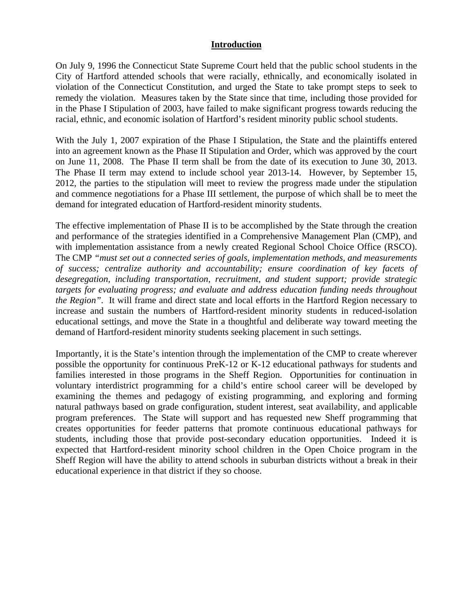### **Introduction**

On July 9, 1996 the Connecticut State Supreme Court held that the public school students in the City of Hartford attended schools that were racially, ethnically, and economically isolated in violation of the Connecticut Constitution, and urged the State to take prompt steps to seek to remedy the violation. Measures taken by the State since that time, including those provided for in the Phase I Stipulation of 2003, have failed to make significant progress towards reducing the racial, ethnic, and economic isolation of Hartford's resident minority public school students.

With the July 1, 2007 expiration of the Phase I Stipulation, the State and the plaintiffs entered into an agreement known as the Phase II Stipulation and Order, which was approved by the court on June 11, 2008. The Phase II term shall be from the date of its execution to June 30, 2013. The Phase II term may extend to include school year 2013-14. However, by September 15, 2012, the parties to the stipulation will meet to review the progress made under the stipulation and commence negotiations for a Phase III settlement, the purpose of which shall be to meet the demand for integrated education of Hartford-resident minority students.

The effective implementation of Phase II is to be accomplished by the State through the creation and performance of the strategies identified in a Comprehensive Management Plan (CMP), and with implementation assistance from a newly created Regional School Choice Office (RSCO). The CMP *"must set out a connected series of goals, implementation methods, and measurements of success; centralize authority and accountability; ensure coordination of key facets of desegregation, including transportation, recruitment, and student support; provide strategic targets for evaluating progress; and evaluate and address education funding needs throughout the Region"*. It will frame and direct state and local efforts in the Hartford Region necessary to increase and sustain the numbers of Hartford-resident minority students in reduced-isolation educational settings, and move the State in a thoughtful and deliberate way toward meeting the demand of Hartford-resident minority students seeking placement in such settings.

Importantly, it is the State's intention through the implementation of the CMP to create wherever possible the opportunity for continuous PreK-12 or K-12 educational pathways for students and families interested in those programs in the Sheff Region. Opportunities for continuation in voluntary interdistrict programming for a child's entire school career will be developed by examining the themes and pedagogy of existing programming, and exploring and forming natural pathways based on grade configuration, student interest, seat availability, and applicable program preferences. The State will support and has requested new Sheff programming that creates opportunities for feeder patterns that promote continuous educational pathways for students, including those that provide post-secondary education opportunities. Indeed it is expected that Hartford-resident minority school children in the Open Choice program in the Sheff Region will have the ability to attend schools in suburban districts without a break in their educational experience in that district if they so choose.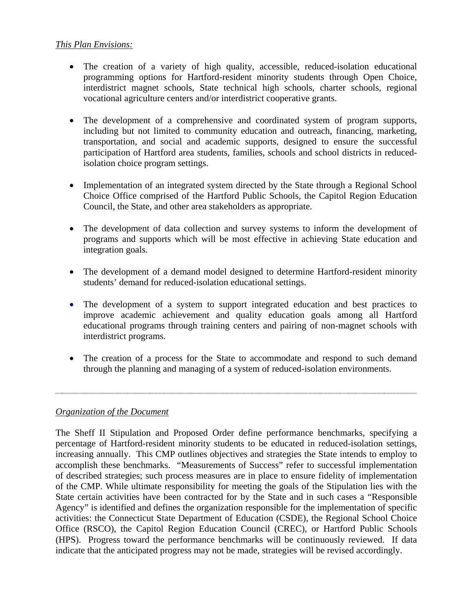### *This Plan Envisions:*

- The creation of a variety of high quality, accessible, reduced-isolation educational programming options for Hartford-resident minority students through Open Choice, interdistrict magnet schools, State technical high schools, charter schools, regional vocational agriculture centers and/or interdistrict cooperative grants.
- The development of a comprehensive and coordinated system of program supports, including but not limited to community education and outreach, financing, marketing, transportation, and social and academic supports, designed to ensure the successful participation of Hartford area students, families, schools and school districts in reducedisolation choice program settings.
- Implementation of an integrated system directed by the State through a Regional School Choice Office comprised of the Hartford Public Schools, the Capitol Region Education Council, the State, and other area stakeholders as appropriate.
- The development of data collection and survey systems to inform the development of programs and supports which will be most effective in achieving State education and integration goals.
- The development of a demand model designed to determine Hartford-resident minority students' demand for reduced-isolation educational settings.
- The development of a system to support integrated education and best practices to improve academic achievement and quality education goals among all Hartford educational programs through training centers and pairing of non-magnet schools with interdistrict programs.
- The creation of a process for the State to accommodate and respond to such demand through the planning and managing of a system of reduced-isolation environments.

### *Organization of the Document*

The Sheff II Stipulation and Proposed Order define performance benchmarks, specifying a percentage of Hartford-resident minority students to be educated in reduced-isolation settings, increasing annually. This CMP outlines objectives and strategies the State intends to employ to accomplish these benchmarks. "Measurements of Success" refer to successful implementation of described strategies; such process measures are in place to ensure fidelity of implementation of the CMP. While ultimate responsibility for meeting the goals of the Stipulation lies with the State certain activities have been contracted for by the State and in such cases a "Responsible Agency" is identified and defines the organization responsible for the implementation of specific activities: the Connecticut State Department of Education (CSDE), the Regional School Choice Office (RSCO), the Capitol Region Education Council (CREC), or Hartford Public Schools (HPS). Progress toward the performance benchmarks will be continuously reviewed. If data indicate that the anticipated progress may not be made, strategies will be revised accordingly.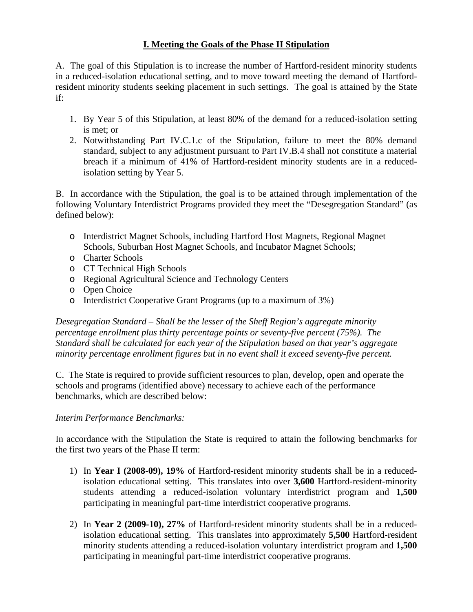### **I. Meeting the Goals of the Phase II Stipulation**

A. The goal of this Stipulation is to increase the number of Hartford-resident minority students in a reduced-isolation educational setting, and to move toward meeting the demand of Hartfordresident minority students seeking placement in such settings. The goal is attained by the State if:

- 1. By Year 5 of this Stipulation, at least 80% of the demand for a reduced-isolation setting is met; or
- 2. Notwithstanding Part IV.C.1.c of the Stipulation, failure to meet the 80% demand standard, subject to any adjustment pursuant to Part IV.B.4 shall not constitute a material breach if a minimum of 41% of Hartford-resident minority students are in a reducedisolation setting by Year 5.

B. In accordance with the Stipulation, the goal is to be attained through implementation of the following Voluntary Interdistrict Programs provided they meet the "Desegregation Standard" (as defined below):

- o Interdistrict Magnet Schools, including Hartford Host Magnets, Regional Magnet Schools, Suburban Host Magnet Schools, and Incubator Magnet Schools;
- o Charter Schools
- o CT Technical High Schools
- o Regional Agricultural Science and Technology Centers
- o Open Choice
- o Interdistrict Cooperative Grant Programs (up to a maximum of 3%)

*Desegregation Standard – Shall be the lesser of the Sheff Region's aggregate minority percentage enrollment plus thirty percentage points or seventy-five percent (75%). The Standard shall be calculated for each year of the Stipulation based on that year's aggregate minority percentage enrollment figures but in no event shall it exceed seventy-five percent.* 

C. The State is required to provide sufficient resources to plan, develop, open and operate the schools and programs (identified above) necessary to achieve each of the performance benchmarks, which are described below:

### *Interim Performance Benchmarks:*

In accordance with the Stipulation the State is required to attain the following benchmarks for the first two years of the Phase II term:

- 1) In **Year I (2008-09), 19%** of Hartford-resident minority students shall be in a reducedisolation educational setting. This translates into over **3,600** Hartford-resident-minority students attending a reduced-isolation voluntary interdistrict program and **1,500** participating in meaningful part-time interdistrict cooperative programs.
- 2) In **Year 2 (2009-10), 27%** of Hartford-resident minority students shall be in a reducedisolation educational setting. This translates into approximately **5,500** Hartford-resident minority students attending a reduced-isolation voluntary interdistrict program and **1,500** participating in meaningful part-time interdistrict cooperative programs.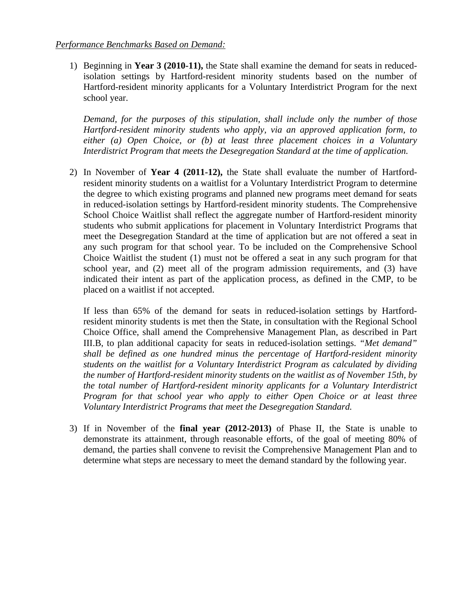1) Beginning in **Year 3 (2010-11),** the State shall examine the demand for seats in reducedisolation settings by Hartford-resident minority students based on the number of Hartford-resident minority applicants for a Voluntary Interdistrict Program for the next school year.

*Demand, for the purposes of this stipulation, shall include only the number of those Hartford-resident minority students who apply, via an approved application form, to either (a) Open Choice, or (b) at least three placement choices in a Voluntary Interdistrict Program that meets the Desegregation Standard at the time of application.* 

2) In November of **Year 4 (2011-12),** the State shall evaluate the number of Hartfordresident minority students on a waitlist for a Voluntary Interdistrict Program to determine the degree to which existing programs and planned new programs meet demand for seats in reduced-isolation settings by Hartford-resident minority students. The Comprehensive School Choice Waitlist shall reflect the aggregate number of Hartford-resident minority students who submit applications for placement in Voluntary Interdistrict Programs that meet the Desegregation Standard at the time of application but are not offered a seat in any such program for that school year. To be included on the Comprehensive School Choice Waitlist the student (1) must not be offered a seat in any such program for that school year, and (2) meet all of the program admission requirements, and (3) have indicated their intent as part of the application process, as defined in the CMP, to be placed on a waitlist if not accepted.

If less than 65% of the demand for seats in reduced-isolation settings by Hartfordresident minority students is met then the State, in consultation with the Regional School Choice Office, shall amend the Comprehensive Management Plan, as described in Part III.B, to plan additional capacity for seats in reduced-isolation settings. *"Met demand" shall be defined as one hundred minus the percentage of Hartford-resident minority students on the waitlist for a Voluntary Interdistrict Program as calculated by dividing the number of Hartford-resident minority students on the waitlist as of November 15th, by the total number of Hartford-resident minority applicants for a Voluntary Interdistrict Program for that school year who apply to either Open Choice or at least three Voluntary Interdistrict Programs that meet the Desegregation Standard.*

3) If in November of the **final year (2012-2013)** of Phase II, the State is unable to demonstrate its attainment, through reasonable efforts, of the goal of meeting 80% of demand, the parties shall convene to revisit the Comprehensive Management Plan and to determine what steps are necessary to meet the demand standard by the following year.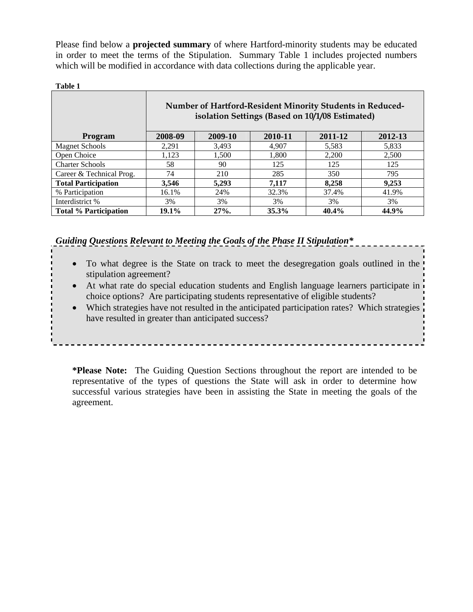Please find below a **projected summary** of where Hartford-minority students may be educated in order to meet the terms of the Stipulation. Summary Table 1 includes projected numbers which will be modified in accordance with data collections during the applicable year.

|                              | Number of Hartford-Resident Minority Students in Reduced-<br>isolation Settings (Based on 10/1/08 Estimated) |         |         |         |         |
|------------------------------|--------------------------------------------------------------------------------------------------------------|---------|---------|---------|---------|
| Program                      | 2008-09                                                                                                      | 2009-10 | 2010-11 | 2011-12 | 2012-13 |
| <b>Magnet Schools</b>        | 2,291                                                                                                        | 3,493   | 4.907   | 5,583   | 5,833   |
| Open Choice                  | 1,123                                                                                                        | 1.500   | 1,800   | 2,200   | 2,500   |
| <b>Charter Schools</b>       | 58                                                                                                           | 90      | 125     | 125     | 125     |
| Career & Technical Prog.     | 74                                                                                                           | 210     | 285     | 350     | 795     |
| <b>Total Participation</b>   | 3,546                                                                                                        | 5,293   | 7,117   | 8,258   | 9,253   |
| % Participation              | 16.1%                                                                                                        | 24%     | 32.3%   | 37.4%   | 41.9%   |
| Interdistrict %              | 3%                                                                                                           | 3%      | 3%      | 3%      | 3%      |
| <b>Total % Participation</b> | 19.1%                                                                                                        | $27%$ . | 35.3%   | 40.4%   | 44.9%   |

*Guiding Questions Relevant to Meeting the Goals of the Phase II Stipulation\** 

- To what degree is the State on track to meet the desegregation goals outlined in the stipulation agreement?
- At what rate do special education students and English language learners participate in choice options? Are participating students representative of eligible students?
- Which strategies have not resulted in the anticipated participation rates? Which strategies have resulted in greater than anticipated success?

**\*Please Note:** The Guiding Question Sections throughout the report are intended to be representative of the types of questions the State will ask in order to determine how successful various strategies have been in assisting the State in meeting the goals of the agreement.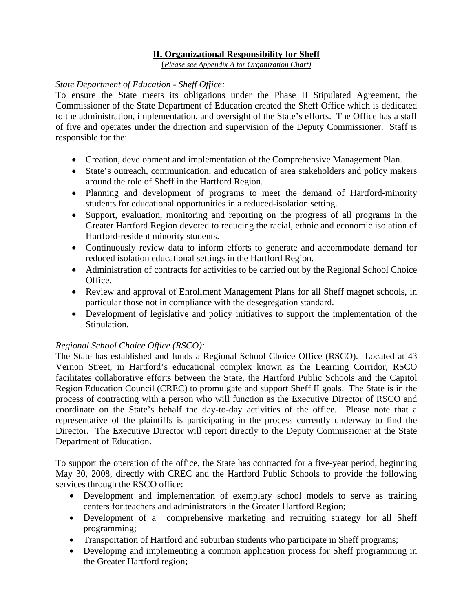### **II. Organizational Responsibility for Sheff**

(*Please see Appendix A for Organization Chart)*

### *State Department of Education - Sheff Office:*

To ensure the State meets its obligations under the Phase II Stipulated Agreement, the Commissioner of the State Department of Education created the Sheff Office which is dedicated to the administration, implementation, and oversight of the State's efforts. The Office has a staff of five and operates under the direction and supervision of the Deputy Commissioner. Staff is responsible for the:

- Creation, development and implementation of the Comprehensive Management Plan.
- State's outreach, communication, and education of area stakeholders and policy makers around the role of Sheff in the Hartford Region.
- Planning and development of programs to meet the demand of Hartford-minority students for educational opportunities in a reduced-isolation setting.
- Support, evaluation, monitoring and reporting on the progress of all programs in the Greater Hartford Region devoted to reducing the racial, ethnic and economic isolation of Hartford-resident minority students.
- Continuously review data to inform efforts to generate and accommodate demand for reduced isolation educational settings in the Hartford Region.
- Administration of contracts for activities to be carried out by the Regional School Choice Office.
- Review and approval of Enrollment Management Plans for all Sheff magnet schools, in particular those not in compliance with the desegregation standard.
- Development of legislative and policy initiatives to support the implementation of the Stipulation.

### *Regional School Choice Office (RSCO):*

The State has established and funds a Regional School Choice Office (RSCO). Located at 43 Vernon Street, in Hartford's educational complex known as the Learning Corridor, RSCO facilitates collaborative efforts between the State, the Hartford Public Schools and the Capitol Region Education Council (CREC) to promulgate and support Sheff II goals. The State is in the process of contracting with a person who will function as the Executive Director of RSCO and coordinate on the State's behalf the day-to-day activities of the office. Please note that a representative of the plaintiffs is participating in the process currently underway to find the Director. The Executive Director will report directly to the Deputy Commissioner at the State Department of Education.

To support the operation of the office, the State has contracted for a five-year period, beginning May 30, 2008, directly with CREC and the Hartford Public Schools to provide the following services through the RSCO office:

- Development and implementation of exemplary school models to serve as training centers for teachers and administrators in the Greater Hartford Region;
- Development of a comprehensive marketing and recruiting strategy for all Sheff programming;
- Transportation of Hartford and suburban students who participate in Sheff programs;
- Developing and implementing a common application process for Sheff programming in the Greater Hartford region;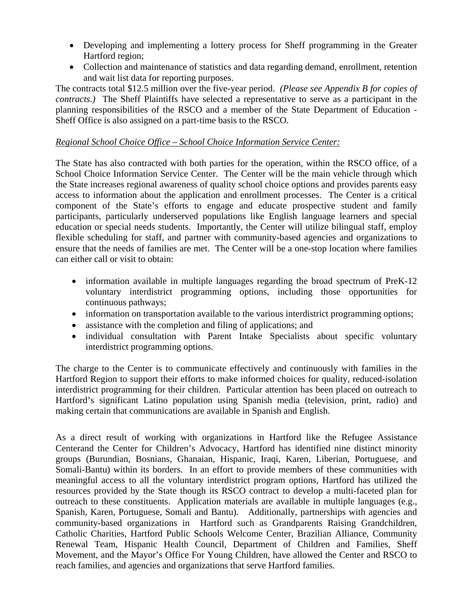- Developing and implementing a lottery process for Sheff programming in the Greater Hartford region;
- Collection and maintenance of statistics and data regarding demand, enrollment, retention and wait list data for reporting purposes.

The contracts total \$12.5 million over the five-year period. *(Please see Appendix B for copies of contracts.)* The Sheff Plaintiffs have selected a representative to serve as a participant in the planning responsibilities of the RSCO and a member of the State Department of Education - Sheff Office is also assigned on a part-time basis to the RSCO.

### *Regional School Choice Office – School Choice Information Service Center:*

The State has also contracted with both parties for the operation, within the RSCO office, of a School Choice Information Service Center. The Center will be the main vehicle through which the State increases regional awareness of quality school choice options and provides parents easy access to information about the application and enrollment processes. The Center is a critical component of the State's efforts to engage and educate prospective student and family participants, particularly underserved populations like English language learners and special education or special needs students. Importantly, the Center will utilize bilingual staff, employ flexible scheduling for staff, and partner with community-based agencies and organizations to ensure that the needs of families are met. The Center will be a one-stop location where families can either call or visit to obtain:

- information available in multiple languages regarding the broad spectrum of PreK-12 voluntary interdistrict programming options, including those opportunities for continuous pathways;
- information on transportation available to the various interdistrict programming options;
- assistance with the completion and filing of applications; and
- individual consultation with Parent Intake Specialists about specific voluntary interdistrict programming options.

The charge to the Center is to communicate effectively and continuously with families in the Hartford Region to support their efforts to make informed choices for quality, reduced-isolation interdistrict programming for their children. Particular attention has been placed on outreach to Hartford's significant Latino population using Spanish media (television, print, radio) and making certain that communications are available in Spanish and English.

As a direct result of working with organizations in Hartford like the Refugee Assistance Centerand the Center for Children's Advocacy, Hartford has identified nine distinct minority groups (Burundian, Bosnians, Ghanaian, Hispanic, Iraqi, Karen, Liberian, Portuguese, and Somali-Bantu) within its borders. In an effort to provide members of these communities with meaningful access to all the voluntary interdistrict program options, Hartford has utilized the resources provided by the State though its RSCO contract to develop a multi-faceted plan for outreach to these constituents. Application materials are available in multiple languages (e.g., Spanish, Karen, Portuguese, Somali and Bantu). Additionally, partnerships with agencies and community-based organizations in Hartford such as Grandparents Raising Grandchildren, Catholic Charities, Hartford Public Schools Welcome Center, Brazilian Alliance, Community Renewal Team, Hispanic Health Council, Department of Children and Families, Sheff Movement, and the Mayor's Office For Young Children, have allowed the Center and RSCO to reach families, and agencies and organizations that serve Hartford families.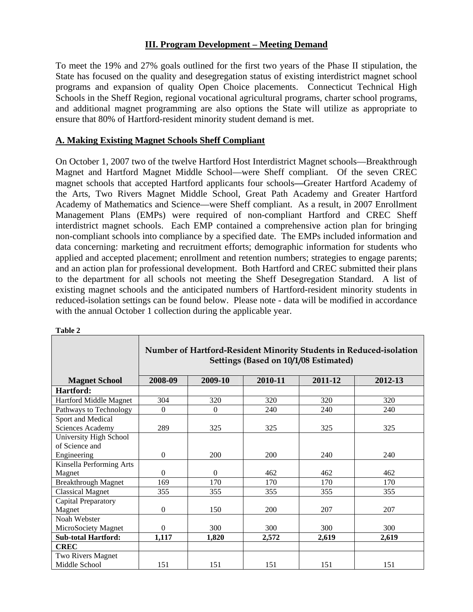### **III. Program Development – Meeting Demand**

To meet the 19% and 27% goals outlined for the first two years of the Phase II stipulation, the State has focused on the quality and desegregation status of existing interdistrict magnet school programs and expansion of quality Open Choice placements. Connecticut Technical High Schools in the Sheff Region, regional vocational agricultural programs, charter school programs, and additional magnet programming are also options the State will utilize as appropriate to ensure that 80% of Hartford-resident minority student demand is met.

### **A. Making Existing Magnet Schools Sheff Compliant**

On October 1, 2007 two of the twelve Hartford Host Interdistrict Magnet schools—Breakthrough Magnet and Hartford Magnet Middle School—were Sheff compliant. Of the seven CREC magnet schools that accepted Hartford applicants four schools**—**Greater Hartford Academy of the Arts, Two Rivers Magnet Middle School, Great Path Academy and Greater Hartford Academy of Mathematics and Science—were Sheff compliant. As a result, in 2007 Enrollment Management Plans (EMPs) were required of non-compliant Hartford and CREC Sheff interdistrict magnet schools. Each EMP contained a comprehensive action plan for bringing non-compliant schools into compliance by a specified date. The EMPs included information and data concerning: marketing and recruitment efforts; demographic information for students who applied and accepted placement; enrollment and retention numbers; strategies to engage parents; and an action plan for professional development. Both Hartford and CREC submitted their plans to the department for all schools not meeting the Sheff Desegregation Standard. A list of existing magnet schools and the anticipated numbers of Hartford-resident minority students in reduced-isolation settings can be found below. Please note - data will be modified in accordance with the annual October 1 collection during the applicable year.

|                            | Number of Hartford-Resident Minority Students in Reduced-isolation<br>Settings (Based on 10/1/08 Estimated) |              |         |         |         |
|----------------------------|-------------------------------------------------------------------------------------------------------------|--------------|---------|---------|---------|
| <b>Magnet School</b>       | 2008-09                                                                                                     | 2009-10      | 2010-11 | 2011-12 | 2012-13 |
| Hartford:                  |                                                                                                             |              |         |         |         |
| Hartford Middle Magnet     | 304                                                                                                         | 320          | 320     | 320     | 320     |
| Pathways to Technology     | $\Omega$                                                                                                    | $\mathbf{0}$ | 240     | 240     | 240     |
| Sport and Medical          |                                                                                                             |              |         |         |         |
| Sciences Academy           | 289                                                                                                         | 325          | 325     | 325     | 325     |
| University High School     |                                                                                                             |              |         |         |         |
| of Science and             |                                                                                                             |              |         |         |         |
| Engineering                | $\boldsymbol{0}$                                                                                            | 200          | 200     | 240     | 240     |
| Kinsella Performing Arts   |                                                                                                             |              |         |         |         |
| Magnet                     | $\mathbf{0}$                                                                                                | $\Omega$     | 462     | 462     | 462     |
| <b>Breakthrough Magnet</b> | 169                                                                                                         | 170          | 170     | 170     | 170     |
| <b>Classical Magnet</b>    | 355                                                                                                         | 355          | 355     | 355     | 355     |
| Capital Preparatory        |                                                                                                             |              |         |         |         |
| Magnet                     | $\boldsymbol{0}$                                                                                            | 150          | 200     | 207     | 207     |
| Noah Webster               |                                                                                                             |              |         |         |         |
| MicroSociety Magnet        | $\Omega$                                                                                                    | 300          | 300     | 300     | 300     |
| <b>Sub-total Hartford:</b> | 1,117                                                                                                       | 1,820        | 2,572   | 2,619   | 2,619   |
| <b>CREC</b>                |                                                                                                             |              |         |         |         |
| Two Rivers Magnet          |                                                                                                             |              |         |         |         |
| Middle School              | 151                                                                                                         | 151          | 151     | 151     | 151     |

#### **Table 2**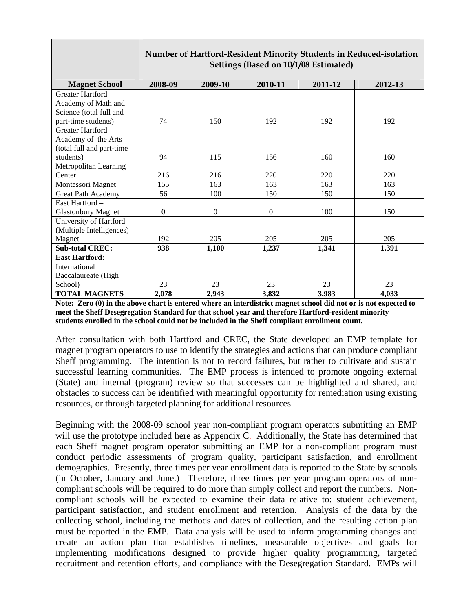|                           | Number of Hartford-Resident Minority Students in Reduced-isolation<br>Settings (Based on 10/1/08 Estimated) |              |              |         |         |
|---------------------------|-------------------------------------------------------------------------------------------------------------|--------------|--------------|---------|---------|
|                           |                                                                                                             |              |              |         |         |
| <b>Magnet School</b>      | 2008-09                                                                                                     | 2009-10      | 2010-11      | 2011-12 | 2012-13 |
| <b>Greater Hartford</b>   |                                                                                                             |              |              |         |         |
| Academy of Math and       |                                                                                                             |              |              |         |         |
| Science (total full and   |                                                                                                             |              |              |         |         |
| part-time students)       | 74                                                                                                          | 150          | 192          | 192     | 192     |
| <b>Greater Hartford</b>   |                                                                                                             |              |              |         |         |
| Academy of the Arts       |                                                                                                             |              |              |         |         |
| (total full and part-time |                                                                                                             |              |              |         |         |
| students)                 | 94                                                                                                          | 115          | 156          | 160     | 160     |
| Metropolitan Learning     |                                                                                                             |              |              |         |         |
| Center                    | 216                                                                                                         | 216          | 220          | 220     | 220     |
| Montessori Magnet         | 155                                                                                                         | 163          | 163          | 163     | 163     |
| Great Path Academy        | 56                                                                                                          | 100          | 150          | 150     | 150     |
| East Hartford -           |                                                                                                             |              |              |         |         |
| <b>Glastonbury Magnet</b> | $\boldsymbol{0}$                                                                                            | $\mathbf{0}$ | $\mathbf{0}$ | 100     | 150     |
| University of Hartford    |                                                                                                             |              |              |         |         |
| (Multiple Intelligences)  |                                                                                                             |              |              |         |         |
| Magnet                    | 192                                                                                                         | 205          | 205          | 205     | 205     |
| <b>Sub-total CREC:</b>    | 938                                                                                                         | 1,100        | 1,237        | 1,341   | 1,391   |
| <b>East Hartford:</b>     |                                                                                                             |              |              |         |         |
| International             |                                                                                                             |              |              |         |         |
| Baccalaureate (High       |                                                                                                             |              |              |         |         |
| School)                   | 23                                                                                                          | 23           | 23           | 23      | 23      |
| <b>TOTAL MAGNETS</b>      | 2,078                                                                                                       | 2,943        | 3,832        | 3,983   | 4,033   |

**Note: Zero (0) in the above chart is entered where an interdistrict magnet school did not or is not expected to meet the Sheff Desegregation Standard for that school year and therefore Hartford-resident minority students enrolled in the school could not be included in the Sheff compliant enrollment count.** 

After consultation with both Hartford and CREC, the State developed an EMP template for magnet program operators to use to identify the strategies and actions that can produce compliant Sheff programming. The intention is not to record failures, but rather to cultivate and sustain successful learning communities. The EMP process is intended to promote ongoing external (State) and internal (program) review so that successes can be highlighted and shared, and obstacles to success can be identified with meaningful opportunity for remediation using existing resources, or through targeted planning for additional resources.

Beginning with the 2008-09 school year non-compliant program operators submitting an EMP will use the prototype included here as Appendix C. Additionally, the State has determined that each Sheff magnet program operator submitting an EMP for a non-compliant program must conduct periodic assessments of program quality, participant satisfaction, and enrollment demographics. Presently, three times per year enrollment data is reported to the State by schools (in October, January and June.) Therefore, three times per year program operators of noncompliant schools will be required to do more than simply collect and report the numbers. Noncompliant schools will be expected to examine their data relative to: student achievement, participant satisfaction, and student enrollment and retention. Analysis of the data by the collecting school, including the methods and dates of collection, and the resulting action plan must be reported in the EMP. Data analysis will be used to inform programming changes and create an action plan that establishes timelines, measurable objectives and goals for implementing modifications designed to provide higher quality programming, targeted recruitment and retention efforts, and compliance with the Desegregation Standard. EMPs will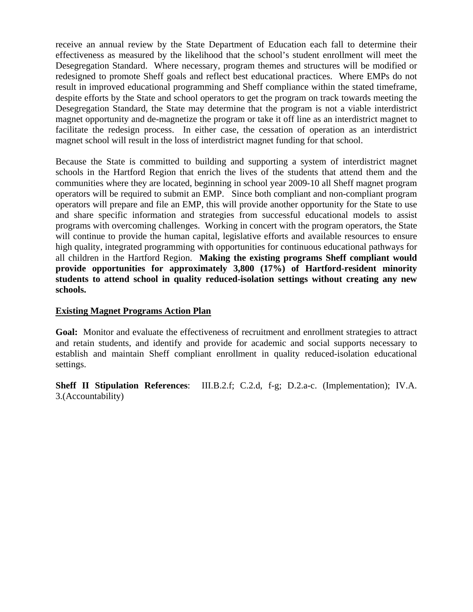receive an annual review by the State Department of Education each fall to determine their effectiveness as measured by the likelihood that the school's student enrollment will meet the Desegregation Standard. Where necessary, program themes and structures will be modified or redesigned to promote Sheff goals and reflect best educational practices. Where EMPs do not result in improved educational programming and Sheff compliance within the stated timeframe, despite efforts by the State and school operators to get the program on track towards meeting the Desegregation Standard, the State may determine that the program is not a viable interdistrict magnet opportunity and de-magnetize the program or take it off line as an interdistrict magnet to facilitate the redesign process. In either case, the cessation of operation as an interdistrict magnet school will result in the loss of interdistrict magnet funding for that school.

Because the State is committed to building and supporting a system of interdistrict magnet schools in the Hartford Region that enrich the lives of the students that attend them and the communities where they are located, beginning in school year 2009-10 all Sheff magnet program operators will be required to submit an EMP. Since both compliant and non-compliant program operators will prepare and file an EMP, this will provide another opportunity for the State to use and share specific information and strategies from successful educational models to assist programs with overcoming challenges. Working in concert with the program operators, the State will continue to provide the human capital, legislative efforts and available resources to ensure high quality, integrated programming with opportunities for continuous educational pathways for all children in the Hartford Region. **Making the existing programs Sheff compliant would provide opportunities for approximately 3,800 (17%) of Hartford-resident minority students to attend school in quality reduced-isolation settings without creating any new schools.**

### **Existing Magnet Programs Action Plan**

**Goal:** Monitor and evaluate the effectiveness of recruitment and enrollment strategies to attract and retain students, and identify and provide for academic and social supports necessary to establish and maintain Sheff compliant enrollment in quality reduced-isolation educational settings.

**Sheff II Stipulation References**: III.B.2.f; C.2.d, f-g; D.2.a-c. (Implementation); IV.A. 3.(Accountability)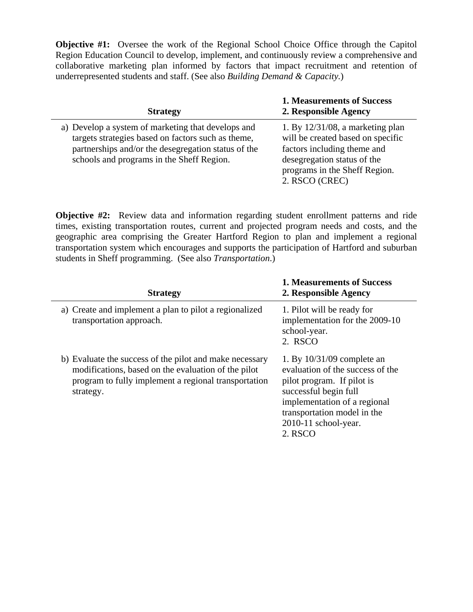**Objective #1:** Oversee the work of the Regional School Choice Office through the Capitol Region Education Council to develop, implement, and continuously review a comprehensive and collaborative marketing plan informed by factors that impact recruitment and retention of underrepresented students and staff. (See also *Building Demand & Capacity.*)

| <b>Strategy</b>                                                                                                                                                                                              | <b>1. Measurements of Success</b><br>2. Responsible Agency                                                                                                                                |
|--------------------------------------------------------------------------------------------------------------------------------------------------------------------------------------------------------------|-------------------------------------------------------------------------------------------------------------------------------------------------------------------------------------------|
| a) Develop a system of marketing that develops and<br>targets strategies based on factors such as theme,<br>partnerships and/or the desegregation status of the<br>schools and programs in the Sheff Region. | 1. By $12/31/08$ , a marketing plan<br>will be created based on specific<br>factors including theme and<br>desegregation status of the<br>programs in the Sheff Region.<br>2. RSCO (CREC) |

**Objective #2:** Review data and information regarding student enrollment patterns and ride times, existing transportation routes, current and projected program needs and costs, and the geographic area comprising the Greater Hartford Region to plan and implement a regional transportation system which encourages and supports the participation of Hartford and suburban students in Sheff programming. (See also *Transportation*.)

| <b>Strategy</b>                                                                                                                                                                     | <b>1. Measurements of Success</b><br>2. Responsible Agency                                                                                                                                                                |
|-------------------------------------------------------------------------------------------------------------------------------------------------------------------------------------|---------------------------------------------------------------------------------------------------------------------------------------------------------------------------------------------------------------------------|
| a) Create and implement a plan to pilot a regionalized<br>transportation approach.                                                                                                  | 1. Pilot will be ready for<br>implementation for the 2009-10<br>school-year.<br>2. RSCO                                                                                                                                   |
| b) Evaluate the success of the pilot and make necessary<br>modifications, based on the evaluation of the pilot<br>program to fully implement a regional transportation<br>strategy. | 1. By $10/31/09$ complete an<br>evaluation of the success of the<br>pilot program. If pilot is<br>successful begin full<br>implementation of a regional<br>transportation model in the<br>2010-11 school-year.<br>2. RSCO |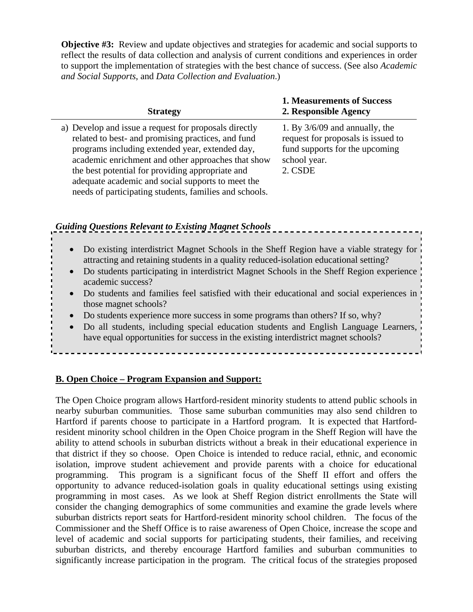**Objective #3:** Review and update objectives and strategies for academic and social supports to reflect the results of data collection and analysis of current conditions and experiences in order to support the implementation of strategies with the best chance of success. (See also *Academic and Social Supports*, and *Data Collection and Evaluation*.)

| <b>Strategy</b>                                                                                                                                                                                                                                                                                                                                                                         | <b>1. Measurements of Success</b><br>2. Responsible Agency                                                                          |
|-----------------------------------------------------------------------------------------------------------------------------------------------------------------------------------------------------------------------------------------------------------------------------------------------------------------------------------------------------------------------------------------|-------------------------------------------------------------------------------------------------------------------------------------|
| a) Develop and issue a request for proposals directly<br>related to best- and promising practices, and fund<br>programs including extended year, extended day,<br>academic enrichment and other approaches that show<br>the best potential for providing appropriate and<br>adequate academic and social supports to meet the<br>needs of participating students, families and schools. | 1. By $3/6/09$ and annually, the<br>request for proposals is issued to<br>fund supports for the upcoming<br>school year.<br>2. CSDE |

# *Guiding Questions Relevant to Existing Magnet Schools*

- Do existing interdistrict Magnet Schools in the Sheff Region have a viable strategy for attracting and retaining students in a quality reduced-isolation educational setting?
- Do students participating in interdistrict Magnet Schools in the Sheff Region experience academic success?
- Do students and families feel satisfied with their educational and social experiences in those magnet schools?
- Do students experience more success in some programs than others? If so, why?
- Do all students, including special education students and English Language Learners, have equal opportunities for success in the existing interdistrict magnet schools?

### **B. Open Choice – Program Expansion and Support:**

The Open Choice program allows Hartford-resident minority students to attend public schools in nearby suburban communities. Those same suburban communities may also send children to Hartford if parents choose to participate in a Hartford program. It is expected that Hartfordresident minority school children in the Open Choice program in the Sheff Region will have the ability to attend schools in suburban districts without a break in their educational experience in that district if they so choose. Open Choice is intended to reduce racial, ethnic, and economic isolation, improve student achievement and provide parents with a choice for educational programming. This program is a significant focus of the Sheff II effort and offers the opportunity to advance reduced-isolation goals in quality educational settings using existing programming in most cases. As we look at Sheff Region district enrollments the State will consider the changing demographics of some communities and examine the grade levels where suburban districts report seats for Hartford-resident minority school children. The focus of the Commissioner and the Sheff Office is to raise awareness of Open Choice, increase the scope and level of academic and social supports for participating students, their families, and receiving suburban districts, and thereby encourage Hartford families and suburban communities to significantly increase participation in the program. The critical focus of the strategies proposed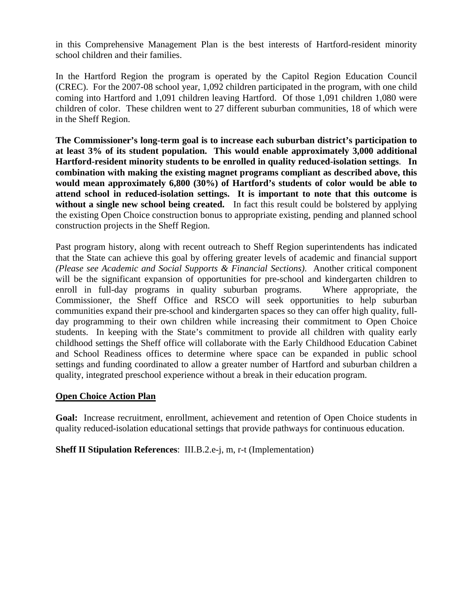in this Comprehensive Management Plan is the best interests of Hartford-resident minority school children and their families.

In the Hartford Region the program is operated by the Capitol Region Education Council (CREC). For the 2007-08 school year, 1,092 children participated in the program, with one child coming into Hartford and 1,091 children leaving Hartford. Of those 1,091 children 1,080 were children of color. These children went to 27 different suburban communities, 18 of which were in the Sheff Region.

**The Commissioner's long-term goal is to increase each suburban district's participation to at least 3% of its student population. This would enable approximately 3,000 additional Hartford-resident minority students to be enrolled in quality reduced-isolation settings**. **In combination with making the existing magnet programs compliant as described above, this would mean approximately 6,800 (30%) of Hartford's students of color would be able to attend school in reduced-isolation settings. It is important to note that this outcome is**  without a single new school being created. In fact this result could be bolstered by applying the existing Open Choice construction bonus to appropriate existing, pending and planned school construction projects in the Sheff Region.

Past program history, along with recent outreach to Sheff Region superintendents has indicated that the State can achieve this goal by offering greater levels of academic and financial support *(Please see Academic and Social Supports & Financial Sections)*. Another critical component will be the significant expansion of opportunities for pre-school and kindergarten children to enroll in full-day programs in quality suburban programs. Where appropriate, the Commissioner, the Sheff Office and RSCO will seek opportunities to help suburban communities expand their pre-school and kindergarten spaces so they can offer high quality, fullday programming to their own children while increasing their commitment to Open Choice students. In keeping with the State's commitment to provide all children with quality early childhood settings the Sheff office will collaborate with the Early Childhood Education Cabinet and School Readiness offices to determine where space can be expanded in public school settings and funding coordinated to allow a greater number of Hartford and suburban children a quality, integrated preschool experience without a break in their education program.

### **Open Choice Action Plan**

**Goal:** Increase recruitment, enrollment, achievement and retention of Open Choice students in quality reduced-isolation educational settings that provide pathways for continuous education.

**Sheff II Stipulation References**: III.B.2.e-j, m, r-t (Implementation)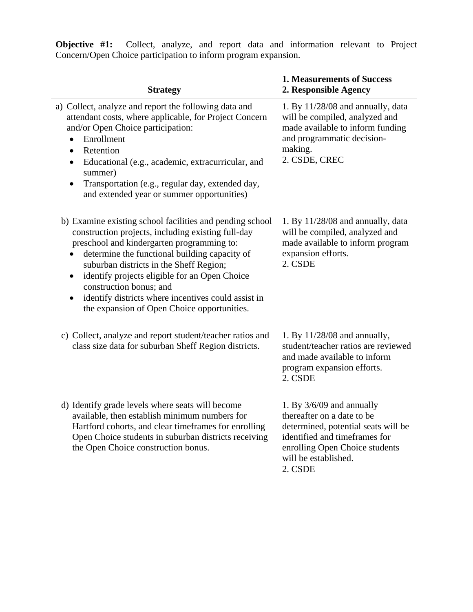| <b>Strategy</b>                                                                                                                                                                                                                                                                                                                                                                                                                                                                   | <b>1. Measurements of Success</b><br>2. Responsible Agency                                                                                                                                             |
|-----------------------------------------------------------------------------------------------------------------------------------------------------------------------------------------------------------------------------------------------------------------------------------------------------------------------------------------------------------------------------------------------------------------------------------------------------------------------------------|--------------------------------------------------------------------------------------------------------------------------------------------------------------------------------------------------------|
| a) Collect, analyze and report the following data and<br>attendant costs, where applicable, for Project Concern<br>and/or Open Choice participation:<br>Enrollment<br>$\bullet$<br>Retention<br>$\bullet$<br>Educational (e.g., academic, extracurricular, and<br>$\bullet$<br>summer)<br>Transportation (e.g., regular day, extended day,<br>$\bullet$<br>and extended year or summer opportunities)                                                                             | 1. By $11/28/08$ and annually, data<br>will be compiled, analyzed and<br>made available to inform funding<br>and programmatic decision-<br>making.<br>2. CSDE, CREC                                    |
| b) Examine existing school facilities and pending school<br>construction projects, including existing full-day<br>preschool and kindergarten programming to:<br>determine the functional building capacity of<br>$\bullet$<br>suburban districts in the Sheff Region;<br>identify projects eligible for an Open Choice<br>$\bullet$<br>construction bonus; and<br>identify districts where incentives could assist in<br>$\bullet$<br>the expansion of Open Choice opportunities. | 1. By $11/28/08$ and annually, data<br>will be compiled, analyzed and<br>made available to inform program<br>expansion efforts.<br>2. CSDE                                                             |
| c) Collect, analyze and report student/teacher ratios and<br>class size data for suburban Sheff Region districts.                                                                                                                                                                                                                                                                                                                                                                 | 1. By $11/28/08$ and annually,<br>student/teacher ratios are reviewed<br>and made available to inform<br>program expansion efforts.<br>2. CSDE                                                         |
| d) Identify grade levels where seats will become<br>available, then establish minimum numbers for<br>Hartford cohorts, and clear timeframes for enrolling<br>Open Choice students in suburban districts receiving<br>the Open Choice construction bonus.                                                                                                                                                                                                                          | 1. By $3/6/09$ and annually<br>thereafter on a date to be<br>determined, potential seats will be<br>identified and timeframes for<br>enrolling Open Choice students<br>will be established.<br>2. CSDE |

**Objective #1:** Collect, analyze, and report data and information relevant to Project Concern/Open Choice participation to inform program expansion.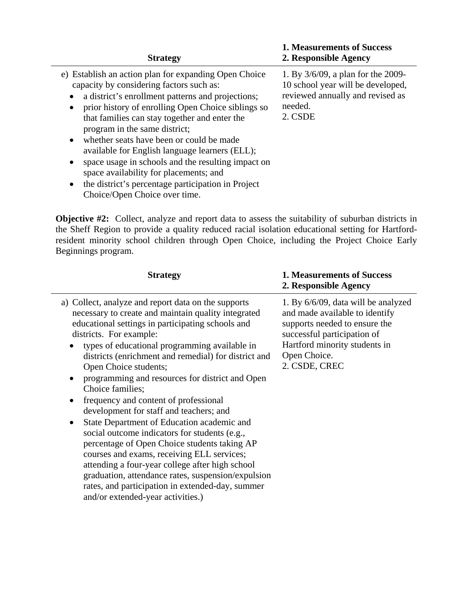| <b>Strategy</b>                                                                                                                                                                                                                                                                                                                                                                                                                                                                                                                                                                                                                                      | <b>1. Measurements of Success</b><br>2. Responsible Agency                                                                        |
|------------------------------------------------------------------------------------------------------------------------------------------------------------------------------------------------------------------------------------------------------------------------------------------------------------------------------------------------------------------------------------------------------------------------------------------------------------------------------------------------------------------------------------------------------------------------------------------------------------------------------------------------------|-----------------------------------------------------------------------------------------------------------------------------------|
| e) Establish an action plan for expanding Open Choice<br>capacity by considering factors such as:<br>a district's enrollment patterns and projections;<br>$\bullet$<br>prior history of enrolling Open Choice siblings so<br>$\bullet$<br>that families can stay together and enter the<br>program in the same district;<br>whether seats have been or could be made<br>$\bullet$<br>available for English language learners (ELL);<br>space usage in schools and the resulting impact on<br>$\bullet$<br>space availability for placements; and<br>the district's percentage participation in Project<br>$\bullet$<br>Choice/Open Choice over time. | 1. By 3/6/09, a plan for the 2009-<br>10 school year will be developed,<br>reviewed annually and revised as<br>needed.<br>2. CSDE |

**Objective #2:** Collect, analyze and report data to assess the suitability of suburban districts in the Sheff Region to provide a quality reduced racial isolation educational setting for Hartfordresident minority school children through Open Choice, including the Project Choice Early Beginnings program.

j.

| <b>Strategy</b>                                                                                                                                                                                                                                                                                                                                                                                                                                                                                                                                                                                                                                                                                                                                                                                                                                                                                     | <b>1. Measurements of Success</b><br>2. Responsible Agency                                                                                                                                              |
|-----------------------------------------------------------------------------------------------------------------------------------------------------------------------------------------------------------------------------------------------------------------------------------------------------------------------------------------------------------------------------------------------------------------------------------------------------------------------------------------------------------------------------------------------------------------------------------------------------------------------------------------------------------------------------------------------------------------------------------------------------------------------------------------------------------------------------------------------------------------------------------------------------|---------------------------------------------------------------------------------------------------------------------------------------------------------------------------------------------------------|
| a) Collect, analyze and report data on the supports<br>necessary to create and maintain quality integrated<br>educational settings in participating schools and<br>districts. For example:<br>types of educational programming available in<br>districts (enrichment and remedial) for district and<br>Open Choice students;<br>programming and resources for district and Open<br>Choice families;<br>frequency and content of professional<br>development for staff and teachers; and<br>State Department of Education academic and<br>$\bullet$<br>social outcome indicators for students (e.g.,<br>percentage of Open Choice students taking AP<br>courses and exams, receiving ELL services;<br>attending a four-year college after high school<br>graduation, attendance rates, suspension/expulsion<br>rates, and participation in extended-day, summer<br>and/or extended-year activities.) | 1. By 6/6/09, data will be analyzed<br>and made available to identify<br>supports needed to ensure the<br>successful participation of<br>Hartford minority students in<br>Open Choice.<br>2. CSDE, CREC |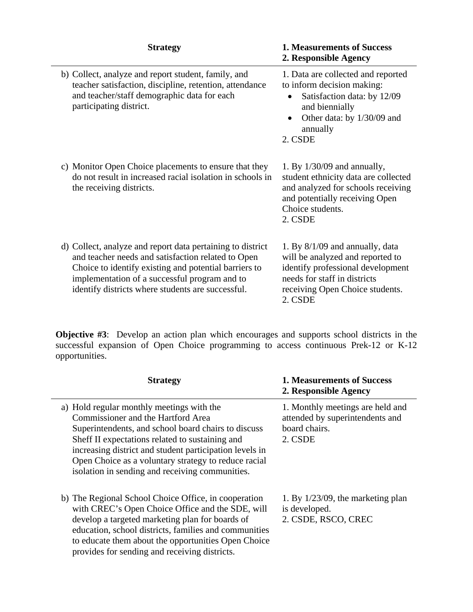| <b>Strategy</b>                                                                                                                                                                                                                                                                 | <b>1. Measurements of Success</b><br>2. Responsible Agency                                                                                                                               |
|---------------------------------------------------------------------------------------------------------------------------------------------------------------------------------------------------------------------------------------------------------------------------------|------------------------------------------------------------------------------------------------------------------------------------------------------------------------------------------|
| b) Collect, analyze and report student, family, and<br>teacher satisfaction, discipline, retention, attendance<br>and teacher/staff demographic data for each<br>participating district.                                                                                        | 1. Data are collected and reported<br>to inform decision making:<br>Satisfaction data: by 12/09<br>and biennially<br>Other data: by 1/30/09 and<br>annually<br>2. CSDE                   |
| c) Monitor Open Choice placements to ensure that they<br>do not result in increased racial isolation in schools in<br>the receiving districts.                                                                                                                                  | 1. By $1/30/09$ and annually,<br>student ethnicity data are collected<br>and analyzed for schools receiving<br>and potentially receiving Open<br>Choice students.<br>2. CSDE             |
| d) Collect, analyze and report data pertaining to district<br>and teacher needs and satisfaction related to Open<br>Choice to identify existing and potential barriers to<br>implementation of a successful program and to<br>identify districts where students are successful. | 1. By $8/1/09$ and annually, data<br>will be analyzed and reported to<br>identify professional development<br>needs for staff in districts<br>receiving Open Choice students.<br>2. CSDE |

**Objective #3**: Develop an action plan which encourages and supports school districts in the successful expansion of Open Choice programming to access continuous Prek-12 or K-12 opportunities.

| <b>Strategy</b>                                                                                                                                                                                                                                                                                                                                                 | <b>1. Measurements of Success</b><br>2. Responsible Agency                                      |
|-----------------------------------------------------------------------------------------------------------------------------------------------------------------------------------------------------------------------------------------------------------------------------------------------------------------------------------------------------------------|-------------------------------------------------------------------------------------------------|
| a) Hold regular monthly meetings with the<br>Commissioner and the Hartford Area<br>Superintendents, and school board chairs to discuss<br>Sheff II expectations related to sustaining and<br>increasing district and student participation levels in<br>Open Choice as a voluntary strategy to reduce racial<br>isolation in sending and receiving communities. | 1. Monthly meetings are held and<br>attended by superintendents and<br>board chairs.<br>2. CSDE |
| b) The Regional School Choice Office, in cooperation<br>with CREC's Open Choice Office and the SDE, will<br>develop a targeted marketing plan for boards of<br>education, school districts, families and communities<br>to educate them about the opportunities Open Choice<br>provides for sending and receiving districts.                                    | 1. By $1/23/09$ , the marketing plan<br>is developed.<br>2. CSDE, RSCO, CREC                    |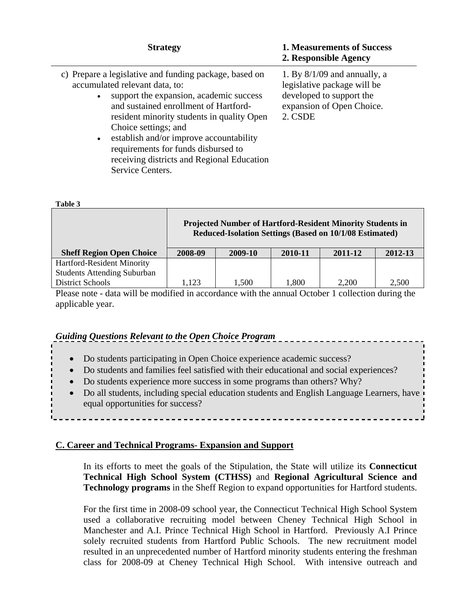| <b>Strategy</b>                                                                                                                                                                                                                                                                                                                                                                                                                  | <b>1. Measurements of Success</b><br>2. Responsible Agency                                                                        |
|----------------------------------------------------------------------------------------------------------------------------------------------------------------------------------------------------------------------------------------------------------------------------------------------------------------------------------------------------------------------------------------------------------------------------------|-----------------------------------------------------------------------------------------------------------------------------------|
| c) Prepare a legislative and funding package, based on<br>accumulated relevant data, to:<br>support the expansion, academic success<br>$\bullet$<br>and sustained enrollment of Hartford-<br>resident minority students in quality Open<br>Choice settings; and<br>establish and/or improve accountability<br>$\bullet$<br>requirements for funds disbursed to<br>receiving districts and Regional Education<br>Service Centers. | 1. By $8/1/09$ and annually, a<br>legislative package will be<br>developed to support the<br>expansion of Open Choice.<br>2. CSDE |

**Table 3** 

|                                    | <b>Projected Number of Hartford-Resident Minority Students in</b><br>Reduced-Isolation Settings (Based on 10/1/08 Estimated) |       |       |       |       |  |  |
|------------------------------------|------------------------------------------------------------------------------------------------------------------------------|-------|-------|-------|-------|--|--|
| <b>Sheff Region Open Choice</b>    | 2009-10<br>2011-12<br>2008-09<br>2010-11<br>2012-13                                                                          |       |       |       |       |  |  |
| Hartford-Resident Minority         |                                                                                                                              |       |       |       |       |  |  |
| <b>Students Attending Suburban</b> |                                                                                                                              |       |       |       |       |  |  |
| <b>District Schools</b>            | 1,123                                                                                                                        | 1,500 | 1,800 | 2,200 | 2,500 |  |  |

Please note - data will be modified in accordance with the annual October 1 collection during the applicable year.

### *Guiding Questions Relevant to the Open Choice Program*

- Do students participating in Open Choice experience academic success?
- Do students and families feel satisfied with their educational and social experiences?
- Do students experience more success in some programs than others? Why?
- Do all students, including special education students and English Language Learners, have equal opportunities for success?

### **C. Career and Technical Programs- Expansion and Support**

In its efforts to meet the goals of the Stipulation, the State will utilize its **Connecticut Technical High School System (CTHSS)** and **Regional Agricultural Science and Technology programs** in the Sheff Region to expand opportunities for Hartford students.

For the first time in 2008-09 school year, the Connecticut Technical High School System used a collaborative recruiting model between Cheney Technical High School in Manchester and A.I. Prince Technical High School in Hartford. Previously A.I Prince solely recruited students from Hartford Public Schools. The new recruitment model resulted in an unprecedented number of Hartford minority students entering the freshman class for 2008-09 at Cheney Technical High School. With intensive outreach and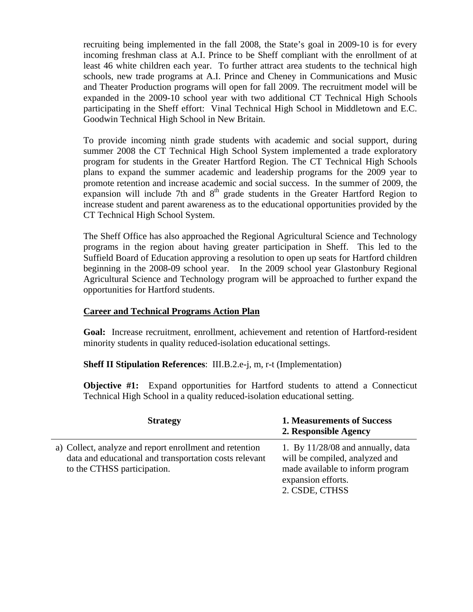recruiting being implemented in the fall 2008, the State's goal in 2009-10 is for every incoming freshman class at A.I. Prince to be Sheff compliant with the enrollment of at least 46 white children each year. To further attract area students to the technical high schools, new trade programs at A.I. Prince and Cheney in Communications and Music and Theater Production programs will open for fall 2009. The recruitment model will be expanded in the 2009-10 school year with two additional CT Technical High Schools participating in the Sheff effort: Vinal Technical High School in Middletown and E.C. Goodwin Technical High School in New Britain.

To provide incoming ninth grade students with academic and social support, during summer 2008 the CT Technical High School System implemented a trade exploratory program for students in the Greater Hartford Region. The CT Technical High Schools plans to expand the summer academic and leadership programs for the 2009 year to promote retention and increase academic and social success. In the summer of 2009, the expansion will include 7th and  $8<sup>th</sup>$  grade students in the Greater Hartford Region to increase student and parent awareness as to the educational opportunities provided by the CT Technical High School System.

The Sheff Office has also approached the Regional Agricultural Science and Technology programs in the region about having greater participation in Sheff. This led to the Suffield Board of Education approving a resolution to open up seats for Hartford children beginning in the 2008-09 school year. In the 2009 school year Glastonbury Regional Agricultural Science and Technology program will be approached to further expand the opportunities for Hartford students.

### **Career and Technical Programs Action Plan**

**Goal:** Increase recruitment, enrollment, achievement and retention of Hartford-resident minority students in quality reduced-isolation educational settings.

**Sheff II Stipulation References**: III.B.2.e-j, m, r-t (Implementation)

**Objective #1:** Expand opportunities for Hartford students to attend a Connecticut Technical High School in a quality reduced-isolation educational setting.

| <b>Strategy</b>                                                                                                                                  | <b>1. Measurements of Success</b><br>2. Responsible Agency                                                                                        |
|--------------------------------------------------------------------------------------------------------------------------------------------------|---------------------------------------------------------------------------------------------------------------------------------------------------|
| a) Collect, analyze and report enrollment and retention<br>data and educational and transportation costs relevant<br>to the CTHSS participation. | 1. By $11/28/08$ and annually, data<br>will be compiled, analyzed and<br>made available to inform program<br>expansion efforts.<br>2. CSDE, CTHSS |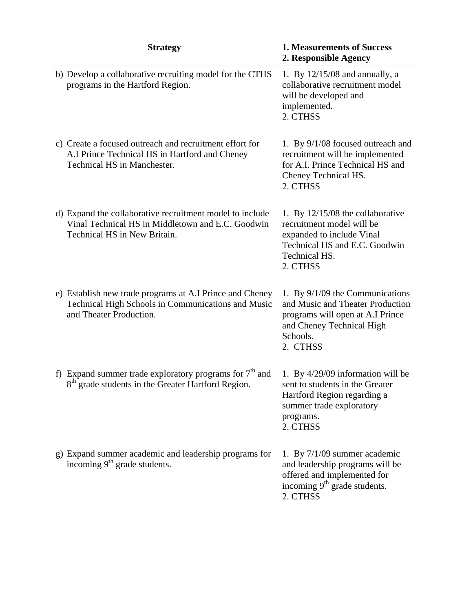| <b>Strategy</b>                                                                                                                               | <b>1. Measurements of Success</b><br>2. Responsible Agency                                                                                                        |
|-----------------------------------------------------------------------------------------------------------------------------------------------|-------------------------------------------------------------------------------------------------------------------------------------------------------------------|
| b) Develop a collaborative recruiting model for the CTHS<br>programs in the Hartford Region.                                                  | 1. By 12/15/08 and annually, a<br>collaborative recruitment model<br>will be developed and<br>implemented.<br>2. CTHSS                                            |
| c) Create a focused outreach and recruitment effort for<br>A.I Prince Technical HS in Hartford and Cheney<br>Technical HS in Manchester.      | 1. By 9/1/08 focused outreach and<br>recruitment will be implemented<br>for A.I. Prince Technical HS and<br>Cheney Technical HS.<br>2. CTHSS                      |
| d) Expand the collaborative recruitment model to include<br>Vinal Technical HS in Middletown and E.C. Goodwin<br>Technical HS in New Britain. | 1. By $12/15/08$ the collaborative<br>recruitment model will be<br>expanded to include Vinal<br>Technical HS and E.C. Goodwin<br><b>Technical HS.</b><br>2. CTHSS |
| e) Establish new trade programs at A.I Prince and Cheney<br>Technical High Schools in Communications and Music<br>and Theater Production.     | 1. By $9/1/09$ the Communications<br>and Music and Theater Production<br>programs will open at A.I Prince<br>and Cheney Technical High<br>Schools.<br>2. CTHSS    |
| f) Expand summer trade exploratory programs for $7th$ and<br>8 <sup>th</sup> grade students in the Greater Hartford Region.                   | 1. By 4/29/09 information will be<br>sent to students in the Greater<br>Hartford Region regarding a<br>summer trade exploratory<br>programs.<br>2. CTHSS          |
| g) Expand summer academic and leadership programs for<br>incoming 9 <sup>th</sup> grade students.                                             | 1. By 7/1/09 summer academic<br>and leadership programs will be<br>offered and implemented for<br>incoming 9 <sup>th</sup> grade students.<br>2. CTHSS            |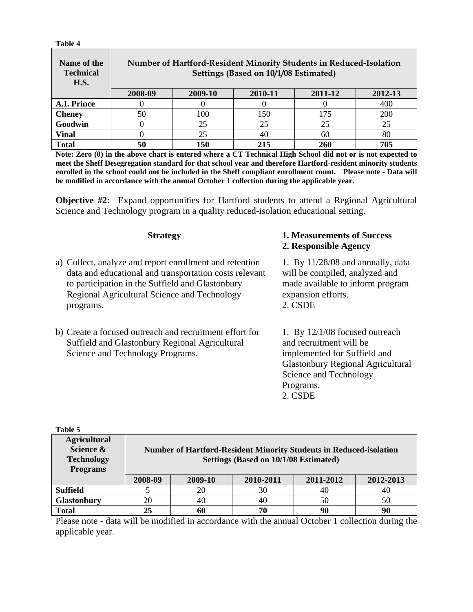| Table 4                                        |         |         |                                                                                                             |         |            |
|------------------------------------------------|---------|---------|-------------------------------------------------------------------------------------------------------------|---------|------------|
| Name of the<br><b>Technical</b><br><b>H.S.</b> |         |         | Number of Hartford-Resident Minority Students in Reduced-Isolation<br>Settings (Based on 10/1/08 Estimated) |         |            |
|                                                | 2008-09 | 2009-10 | 2010-11                                                                                                     | 2011-12 | 2012-13    |
| A.I. Prince                                    |         |         |                                                                                                             |         | 400        |
| <b>Cheney</b>                                  | 50      | 100     | 150                                                                                                         | 175     | <b>200</b> |
| Goodwin                                        |         | 25      | 25                                                                                                          | 25      | 25         |
| <b>Vinal</b>                                   |         | 25      | 40                                                                                                          | 60      | 80         |
| <b>Total</b>                                   | 50      | 150     | 215                                                                                                         | 260     | 705        |

**Note: Zero (0) in the above chart is entered where a CT Technical High School did not or is not expected to meet the Sheff Desegregation standard for that school year and therefore Hartford-resident minority students enrolled in the school could not be included in the Sheff compliant enrollment count. Please note - Data will be modified in accordance with the annual October 1 collection during the applicable year.** 

**Objective #2:** Expand opportunities for Hartford students to attend a Regional Agricultural Science and Technology program in a quality reduced-isolation educational setting.

| <b>Strategy</b>                                                                                                                                                                                                                    | <b>1. Measurements of Success</b><br>2. Responsible Agency                                                                                                                                |
|------------------------------------------------------------------------------------------------------------------------------------------------------------------------------------------------------------------------------------|-------------------------------------------------------------------------------------------------------------------------------------------------------------------------------------------|
| a) Collect, analyze and report enrollment and retention<br>data and educational and transportation costs relevant<br>to participation in the Suffield and Glastonbury<br>Regional Agricultural Science and Technology<br>programs. | 1. By $11/28/08$ and annually, data<br>will be compiled, analyzed and<br>made available to inform program<br>expansion efforts.<br>2. CSDE                                                |
| b) Create a focused outreach and recruitment effort for<br>Suffield and Glastonbury Regional Agricultural<br>Science and Technology Programs.                                                                                      | 1. By $12/1/08$ focused outreach<br>and recruitment will be<br>implemented for Suffield and<br><b>Glastonbury Regional Agricultural</b><br>Science and Technology<br>Programs.<br>2. CSDE |

| Table 5                                                                  |         |         |                                                                                                                    |           |           |
|--------------------------------------------------------------------------|---------|---------|--------------------------------------------------------------------------------------------------------------------|-----------|-----------|
| <b>Agricultural</b><br>Science &<br><b>Technology</b><br><b>Programs</b> |         |         | <b>Number of Hartford-Resident Minority Students in Reduced-isolation</b><br>Settings (Based on 10/1/08 Estimated) |           |           |
|                                                                          | 2008-09 | 2009-10 | 2010-2011                                                                                                          | 2011-2012 | 2012-2013 |
| <b>Suffield</b>                                                          |         | 20      | 30                                                                                                                 | 40        | 40        |
| <b>Glastonbury</b>                                                       | 20      | 40      | 40                                                                                                                 | 50        | 50        |
| <b>Total</b>                                                             | 25      | 60      | 70                                                                                                                 | 90        | 90        |

Please note - data will be modified in accordance with the annual October 1 collection during the applicable year.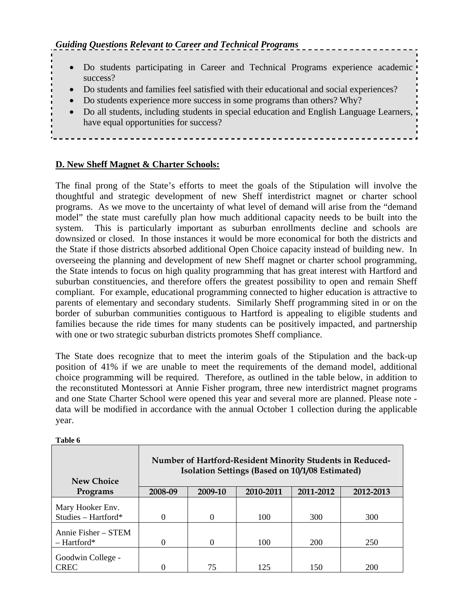- Do students participating in Career and Technical Programs experience academic success?
- Do students and families feel satisfied with their educational and social experiences?
- Do students experience more success in some programs than others? Why?
- Do all students, including students in special education and English Language Learners, have equal opportunities for success?

### **D. New Sheff Magnet & Charter Schools:**

The final prong of the State's efforts to meet the goals of the Stipulation will involve the thoughtful and strategic development of new Sheff interdistrict magnet or charter school programs. As we move to the uncertainty of what level of demand will arise from the "demand model" the state must carefully plan how much additional capacity needs to be built into the system. This is particularly important as suburban enrollments decline and schools are downsized or closed. In those instances it would be more economical for both the districts and the State if those districts absorbed additional Open Choice capacity instead of building new. In overseeing the planning and development of new Sheff magnet or charter school programming, the State intends to focus on high quality programming that has great interest with Hartford and suburban constituencies, and therefore offers the greatest possibility to open and remain Sheff compliant. For example, educational programming connected to higher education is attractive to parents of elementary and secondary students. Similarly Sheff programming sited in or on the border of suburban communities contiguous to Hartford is appealing to eligible students and families because the ride times for many students can be positively impacted, and partnership with one or two strategic suburban districts promotes Sheff compliance.

The State does recognize that to meet the interim goals of the Stipulation and the back-up position of 41% if we are unable to meet the requirements of the demand model, additional choice programming will be required. Therefore, as outlined in the table below, in addition to the reconstituted Montessori at Annie Fisher program, three new interdistrict magnet programs and one State Charter School were opened this year and several more are planned. Please note data will be modified in accordance with the annual October 1 collection during the applicable year.

**Table 6** 

| <b>New Choice</b>                       | Number of Hartford-Resident Minority Students in Reduced-<br>Isolation Settings (Based on 10/1/08 Estimated) |          |           |           |           |
|-----------------------------------------|--------------------------------------------------------------------------------------------------------------|----------|-----------|-----------|-----------|
| Programs                                | 2008-09                                                                                                      | 2009-10  | 2010-2011 | 2011-2012 | 2012-2013 |
| Mary Hooker Env.<br>Studies - Hartford* | 0                                                                                                            | $\Omega$ | 100       | 300       | 300       |
| Annie Fisher - STEM<br>$-$ Hartford*    | 0                                                                                                            | 0        | 100       | 200       | 250       |
| Goodwin College -<br><b>CREC</b>        |                                                                                                              | 75       | 125       | 150       | 200       |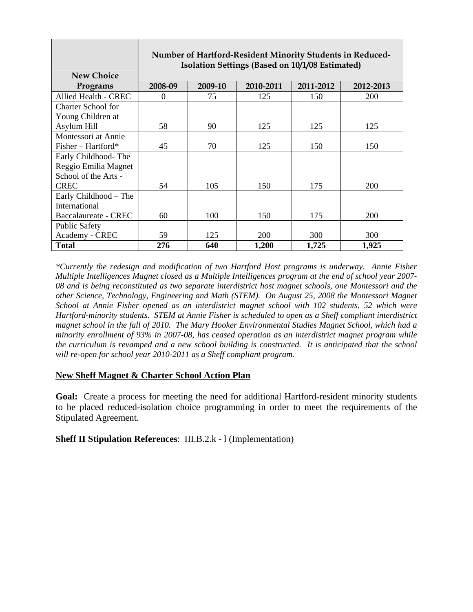|                             | Number of Hartford-Resident Minority Students in Reduced-<br>Isolation Settings (Based on 10/1/08 Estimated) |         |           |           |            |
|-----------------------------|--------------------------------------------------------------------------------------------------------------|---------|-----------|-----------|------------|
| <b>New Choice</b>           |                                                                                                              |         |           |           |            |
| Programs                    | 2008-09                                                                                                      | 2009-10 | 2010-2011 | 2011-2012 | 2012-2013  |
| <b>Allied Health - CREC</b> | $\Omega$                                                                                                     | 75      | 125       | 150       | 200        |
| Charter School for          |                                                                                                              |         |           |           |            |
| Young Children at           |                                                                                                              |         |           |           |            |
| Asylum Hill                 | 58                                                                                                           | 90      | 125       | 125       | 125        |
| Montessori at Annie         |                                                                                                              |         |           |           |            |
| $Fisher-Hartford*$          | 45                                                                                                           | 70      | 125       | 150       | 150        |
| Early Childhood-The         |                                                                                                              |         |           |           |            |
| Reggio Emilia Magnet        |                                                                                                              |         |           |           |            |
| School of the Arts -        |                                                                                                              |         |           |           |            |
| <b>CREC</b>                 | 54                                                                                                           | 105     | 150       | 175       | 200        |
| Early Childhood – The       |                                                                                                              |         |           |           |            |
| International               |                                                                                                              |         |           |           |            |
| Baccalaureate - CREC        | 60                                                                                                           | 100     | 150       | 175       | <b>200</b> |
| <b>Public Safety</b>        |                                                                                                              |         |           |           |            |
| Academy - CREC              | 59                                                                                                           | 125     | 200       | 300       | 300        |
| <b>Total</b>                | 276                                                                                                          | 640     | 1,200     | 1,725     | 1,925      |

*\*Currently the redesign and modification of two Hartford Host programs is underway. Annie Fisher Multiple Intelligences Magnet closed as a Multiple Intelligences program at the end of school year 2007- 08 and is being reconstituted as two separate interdistrict host magnet schools, one Montessori and the other Science, Technology, Engineering and Math (STEM). On August 25, 2008 the Montessori Magnet School at Annie Fisher opened as an interdistrict magnet school with 102 students, 52 which were Hartford-minority students. STEM at Annie Fisher is scheduled to open as a Sheff compliant interdistrict magnet school in the fall of 2010. The Mary Hooker Environmental Studies Magnet School, which had a minority enrollment of 93% in 2007-08, has ceased operation as an interdistrict magnet program while the curriculum is revamped and a new school building is constructed. It is anticipated that the school will re-open for school year 2010-2011 as a Sheff compliant program.*

### **New Sheff Magnet & Charter School Action Plan**

**Goal:** Create a process for meeting the need for additional Hartford-resident minority students to be placed reduced-isolation choice programming in order to meet the requirements of the Stipulated Agreement.

**Sheff II Stipulation References**: III.B.2.k - l (Implementation)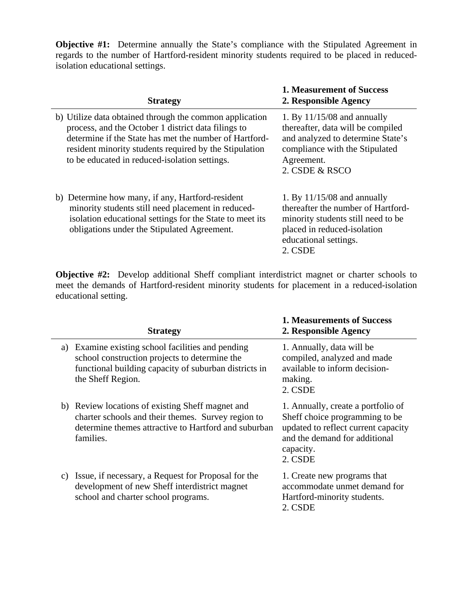**Objective #1:** Determine annually the State's compliance with the Stipulated Agreement in regards to the number of Hartford-resident minority students required to be placed in reducedisolation educational settings.

| <b>Strategy</b>                                                                                                                                                                                                                                                                     | <b>1. Measurement of Success</b><br>2. Responsible Agency                                                                                                                    |
|-------------------------------------------------------------------------------------------------------------------------------------------------------------------------------------------------------------------------------------------------------------------------------------|------------------------------------------------------------------------------------------------------------------------------------------------------------------------------|
| b) Utilize data obtained through the common application<br>process, and the October 1 district data filings to<br>determine if the State has met the number of Hartford-<br>resident minority students required by the Stipulation<br>to be educated in reduced-isolation settings. | 1. By $11/15/08$ and annually<br>thereafter, data will be compiled<br>and analyzed to determine State's<br>compliance with the Stipulated<br>Agreement.<br>2. CSDE & RSCO    |
| b) Determine how many, if any, Hartford-resident<br>minority students still need placement in reduced-<br>isolation educational settings for the State to meet its<br>obligations under the Stipulated Agreement.                                                                   | 1. By $11/15/08$ and annually<br>thereafter the number of Hartford-<br>minority students still need to be<br>placed in reduced-isolation<br>educational settings.<br>2. CSDE |

**Objective #2:** Develop additional Sheff compliant interdistrict magnet or charter schools to meet the demands of Hartford-resident minority students for placement in a reduced-isolation educational setting.

|    | <b>Strategy</b>                                                                                                                                                               | <b>1. Measurements of Success</b><br>2. Responsible Agency                                                                                                           |
|----|-------------------------------------------------------------------------------------------------------------------------------------------------------------------------------|----------------------------------------------------------------------------------------------------------------------------------------------------------------------|
| a) | Examine existing school facilities and pending<br>school construction projects to determine the<br>functional building capacity of suburban districts in<br>the Sheff Region. | 1. Annually, data will be<br>compiled, analyzed and made<br>available to inform decision-<br>making.<br>2. CSDE                                                      |
|    | b) Review locations of existing Sheff magnet and<br>charter schools and their themes. Survey region to<br>determine themes attractive to Hartford and suburban<br>families.   | 1. Annually, create a portfolio of<br>Sheff choice programming to be<br>updated to reflect current capacity<br>and the demand for additional<br>capacity.<br>2. CSDE |
|    | c) Issue, if necessary, a Request for Proposal for the<br>development of new Sheff interdistrict magnet<br>school and charter school programs.                                | 1. Create new programs that<br>accommodate unmet demand for<br>Hartford-minority students.<br>2. CSDE                                                                |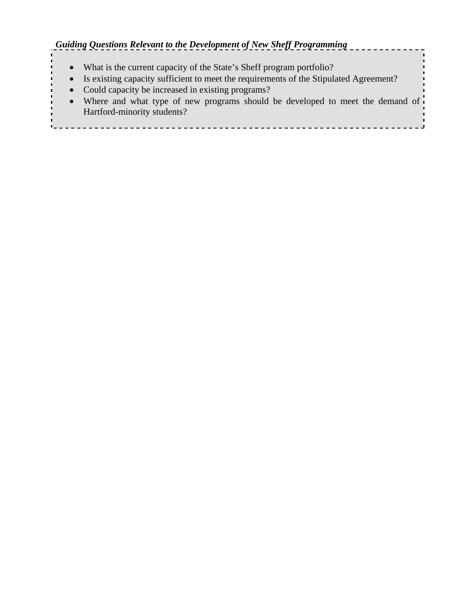### *Guiding Questions Relevant to the Development of New Sheff Programming*

- What is the current capacity of the State's Sheff program portfolio?
- Is existing capacity sufficient to meet the requirements of the Stipulated Agreement?
- Could capacity be increased in existing programs?
- Where and what type of new programs should be developed to meet the demand of Hartford-minority students?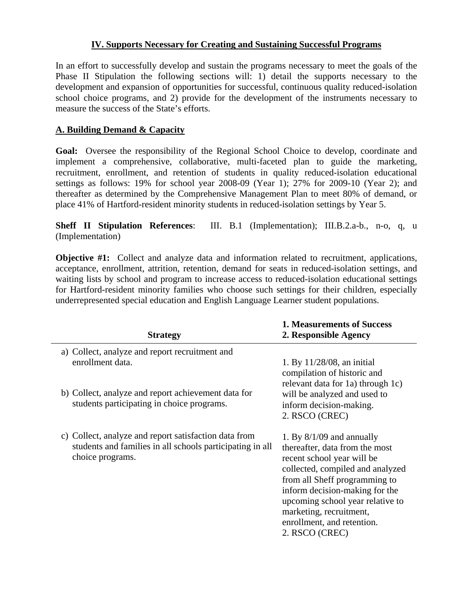### **IV. Supports Necessary for Creating and Sustaining Successful Programs**

In an effort to successfully develop and sustain the programs necessary to meet the goals of the Phase II Stipulation the following sections will: 1) detail the supports necessary to the development and expansion of opportunities for successful, continuous quality reduced-isolation school choice programs, and 2) provide for the development of the instruments necessary to measure the success of the State's efforts.

### **A. Building Demand & Capacity**

**Goal:** Oversee the responsibility of the Regional School Choice to develop, coordinate and implement a comprehensive, collaborative, multi-faceted plan to guide the marketing, recruitment, enrollment, and retention of students in quality reduced-isolation educational settings as follows: 19% for school year 2008-09 (Year 1); 27% for 2009-10 (Year 2); and thereafter as determined by the Comprehensive Management Plan to meet 80% of demand, or place 41% of Hartford-resident minority students in reduced-isolation settings by Year 5.

**Sheff II Stipulation References**: III. B.1 (Implementation); III.B.2.a-b., n-o, q, u (Implementation)

**Objective #1:** Collect and analyze data and information related to recruitment, applications, acceptance, enrollment, attrition, retention, demand for seats in reduced-isolation settings, and waiting lists by school and program to increase access to reduced-isolation educational settings for Hartford-resident minority families who choose such settings for their children, especially underrepresented special education and English Language Learner student populations.

| <b>Strategy</b>                                                                                                                        | <b>1. Measurements of Success</b><br>2. Responsible Agency                                                                                                                                                                                                                                                        |
|----------------------------------------------------------------------------------------------------------------------------------------|-------------------------------------------------------------------------------------------------------------------------------------------------------------------------------------------------------------------------------------------------------------------------------------------------------------------|
| a) Collect, analyze and report recruitment and<br>enrollment data.                                                                     | 1. By $11/28/08$ , an initial<br>compilation of historic and                                                                                                                                                                                                                                                      |
| b) Collect, analyze and report achievement data for<br>students participating in choice programs.                                      | relevant data for 1a) through 1c)<br>will be analyzed and used to<br>inform decision-making.<br>2. RSCO (CREC)                                                                                                                                                                                                    |
| c) Collect, analyze and report satisfaction data from<br>students and families in all schools participating in all<br>choice programs. | 1. By $8/1/09$ and annually<br>thereafter, data from the most<br>recent school year will be<br>collected, compiled and analyzed<br>from all Sheff programming to<br>inform decision-making for the<br>upcoming school year relative to<br>marketing, recruitment,<br>enrollment, and retention.<br>2. RSCO (CREC) |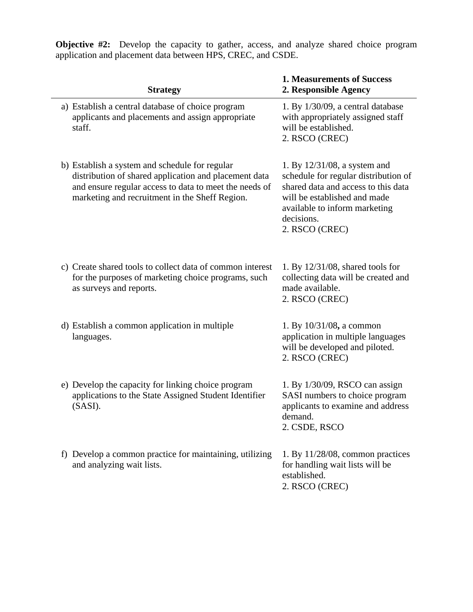| <b>Strategy</b>                                                                                                                                                                                                     | <b>1. Measurements of Success</b><br>2. Responsible Agency                                                                                                                                                      |
|---------------------------------------------------------------------------------------------------------------------------------------------------------------------------------------------------------------------|-----------------------------------------------------------------------------------------------------------------------------------------------------------------------------------------------------------------|
| a) Establish a central database of choice program<br>applicants and placements and assign appropriate<br>staff.                                                                                                     | 1. By $1/30/09$ , a central database<br>with appropriately assigned staff<br>will be established.<br>2. RSCO (CREC)                                                                                             |
| b) Establish a system and schedule for regular<br>distribution of shared application and placement data<br>and ensure regular access to data to meet the needs of<br>marketing and recruitment in the Sheff Region. | 1. By $12/31/08$ , a system and<br>schedule for regular distribution of<br>shared data and access to this data<br>will be established and made<br>available to inform marketing<br>decisions.<br>2. RSCO (CREC) |
| c) Create shared tools to collect data of common interest<br>for the purposes of marketing choice programs, such<br>as surveys and reports.                                                                         | 1. By $12/31/08$ , shared tools for<br>collecting data will be created and<br>made available.<br>2. RSCO (CREC)                                                                                                 |
| d) Establish a common application in multiple<br>languages.                                                                                                                                                         | 1. By $10/31/08$ , a common<br>application in multiple languages<br>will be developed and piloted.<br>2. RSCO (CREC)                                                                                            |
| e) Develop the capacity for linking choice program<br>applications to the State Assigned Student Identifier<br>(SASI).                                                                                              | 1. By 1/30/09, RSCO can assign<br>SASI numbers to choice program<br>applicants to examine and address<br>demand.<br>2. CSDE, RSCO                                                                               |
| f) Develop a common practice for maintaining, utilizing<br>and analyzing wait lists.                                                                                                                                | 1. By $11/28/08$ , common practices<br>for handling wait lists will be<br>established.<br>2. RSCO (CREC)                                                                                                        |

**Objective #2:** Develop the capacity to gather, access, and analyze shared choice program application and placement data between HPS, CREC, and CSDE.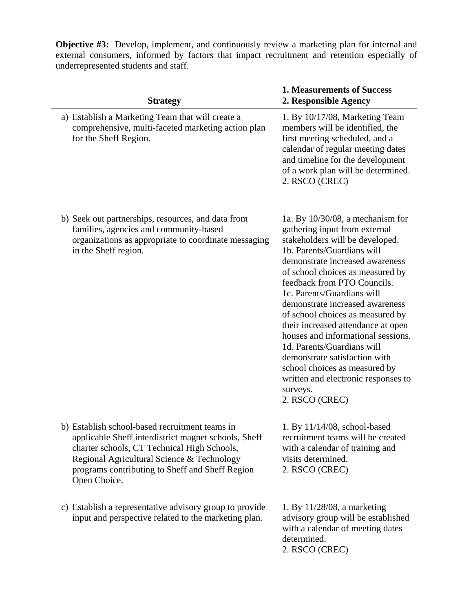**Objective #3:** Develop, implement, and continuously review a marketing plan for internal and external consumers, informed by factors that impact recruitment and retention especially of underrepresented students and staff.

| <b>Strategy</b>                                                                                                                                                                                                                                                        | <b>1. Measurements of Success</b><br>2. Responsible Agency                                                                                                                                                                                                                                                                                                                                                                                                                                                                                                                                        |
|------------------------------------------------------------------------------------------------------------------------------------------------------------------------------------------------------------------------------------------------------------------------|---------------------------------------------------------------------------------------------------------------------------------------------------------------------------------------------------------------------------------------------------------------------------------------------------------------------------------------------------------------------------------------------------------------------------------------------------------------------------------------------------------------------------------------------------------------------------------------------------|
| a) Establish a Marketing Team that will create a<br>comprehensive, multi-faceted marketing action plan<br>for the Sheff Region.                                                                                                                                        | 1. By 10/17/08, Marketing Team<br>members will be identified, the<br>first meeting scheduled, and a<br>calendar of regular meeting dates<br>and timeline for the development<br>of a work plan will be determined.<br>2. RSCO (CREC)                                                                                                                                                                                                                                                                                                                                                              |
| b) Seek out partnerships, resources, and data from<br>families, agencies and community-based<br>organizations as appropriate to coordinate messaging<br>in the Sheff region.                                                                                           | 1a. By $10/30/08$ , a mechanism for<br>gathering input from external<br>stakeholders will be developed.<br>1b. Parents/Guardians will<br>demonstrate increased awareness<br>of school choices as measured by<br>feedback from PTO Councils.<br>1c. Parents/Guardians will<br>demonstrate increased awareness<br>of school choices as measured by<br>their increased attendance at open<br>houses and informational sessions.<br>1d. Parents/Guardians will<br>demonstrate satisfaction with<br>school choices as measured by<br>written and electronic responses to<br>surveys.<br>2. RSCO (CREC) |
| b) Establish school-based recruitment teams in<br>applicable Sheff interdistrict magnet schools, Sheff<br>charter schools, CT Technical High Schools,<br>Regional Agricultural Science & Technology<br>programs contributing to Sheff and Sheff Region<br>Open Choice. | 1. By 11/14/08, school-based<br>recruitment teams will be created<br>with a calendar of training and<br>visits determined.<br>2. RSCO (CREC)                                                                                                                                                                                                                                                                                                                                                                                                                                                      |
| c) Establish a representative advisory group to provide<br>input and perspective related to the marketing plan.                                                                                                                                                        | 1. By $11/28/08$ , a marketing<br>advisory group will be established<br>with a calendar of meeting dates                                                                                                                                                                                                                                                                                                                                                                                                                                                                                          |

determined. 2. RSCO (CREC)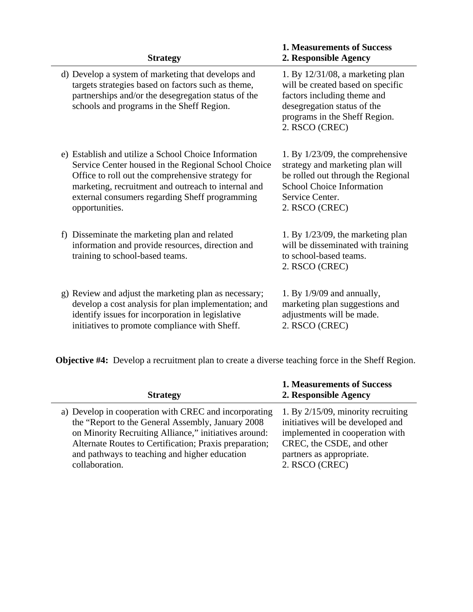| <b>Strategy</b>                                                                                                                                                                                                                                                                             | <b>1. Measurements of Success</b><br>2. Responsible Agency                                                                                                                                |
|---------------------------------------------------------------------------------------------------------------------------------------------------------------------------------------------------------------------------------------------------------------------------------------------|-------------------------------------------------------------------------------------------------------------------------------------------------------------------------------------------|
| d) Develop a system of marketing that develops and<br>targets strategies based on factors such as theme,<br>partnerships and/or the desegregation status of the<br>schools and programs in the Sheff Region.                                                                                | 1. By $12/31/08$ , a marketing plan<br>will be created based on specific<br>factors including theme and<br>desegregation status of the<br>programs in the Sheff Region.<br>2. RSCO (CREC) |
| e) Establish and utilize a School Choice Information<br>Service Center housed in the Regional School Choice<br>Office to roll out the comprehensive strategy for<br>marketing, recruitment and outreach to internal and<br>external consumers regarding Sheff programming<br>opportunities. | 1. By $1/23/09$ , the comprehensive<br>strategy and marketing plan will<br>be rolled out through the Regional<br><b>School Choice Information</b><br>Service Center.<br>2. RSCO (CREC)    |
| f) Disseminate the marketing plan and related<br>information and provide resources, direction and<br>training to school-based teams.                                                                                                                                                        | 1. By $1/23/09$ , the marketing plan<br>will be disseminated with training<br>to school-based teams.<br>2. RSCO (CREC)                                                                    |
| g) Review and adjust the marketing plan as necessary;<br>develop a cost analysis for plan implementation; and<br>identify issues for incorporation in legislative<br>initiatives to promote compliance with Sheff.                                                                          | 1. By $1/9/09$ and annually,<br>marketing plan suggestions and<br>adjustments will be made.<br>2. RSCO (CREC)                                                                             |

**Objective #4:** Develop a recruitment plan to create a diverse teaching force in the Sheff Region.

| <b>Strategy</b>                                        | 1. Measurements of Success<br>2. Responsible Agency |
|--------------------------------------------------------|-----------------------------------------------------|
| a) Develop in cooperation with CREC and incorporating  | 1. By $2/15/09$ , minority recruiting               |
| the "Report to the General Assembly, January 2008      | initiatives will be developed and                   |
| on Minority Recruiting Alliance," initiatives around:  | implemented in cooperation with                     |
| Alternate Routes to Certification; Praxis preparation; | CREC, the CSDE, and other                           |
| and pathways to teaching and higher education          | partners as appropriate.                            |
| collaboration.                                         | 2. RSCO (CREC)                                      |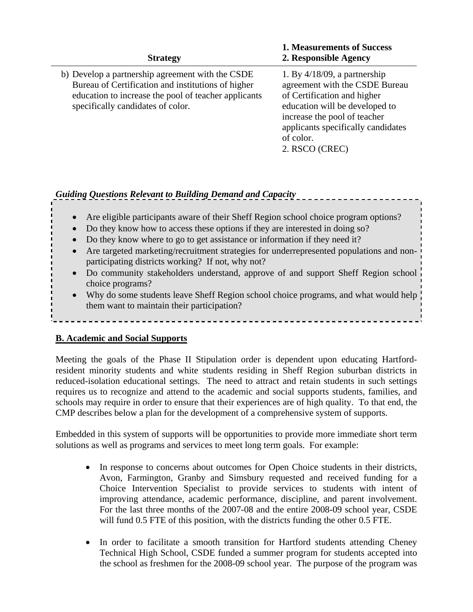| <b>Strategy</b>                                                                                                                                                                                     | <b>1. Measurements of Success</b><br>2. Responsible Agency                                                                                                                                                                              |
|-----------------------------------------------------------------------------------------------------------------------------------------------------------------------------------------------------|-----------------------------------------------------------------------------------------------------------------------------------------------------------------------------------------------------------------------------------------|
| b) Develop a partnership agreement with the CSDE<br>Bureau of Certification and institutions of higher<br>education to increase the pool of teacher applicants<br>specifically candidates of color. | 1. By $4/18/09$ , a partnership<br>agreement with the CSDE Bureau<br>of Certification and higher<br>education will be developed to<br>increase the pool of teacher<br>applicants specifically candidates<br>of color.<br>2. RSCO (CREC) |

# *Guiding Questions Relevant to Building Demand and Capacity*

- Are eligible participants aware of their Sheff Region school choice program options?
- Do they know how to access these options if they are interested in doing so?
- Do they know where to go to get assistance or information if they need it?
- Are targeted marketing/recruitment strategies for underrepresented populations and nonparticipating districts working? If not, why not?
- Do community stakeholders understand, approve of and support Sheff Region school choice programs?
- Why do some students leave Sheff Region school choice programs, and what would help them want to maintain their participation?

### **B. Academic and Social Supports**

Meeting the goals of the Phase II Stipulation order is dependent upon educating Hartfordresident minority students and white students residing in Sheff Region suburban districts in reduced-isolation educational settings. The need to attract and retain students in such settings requires us to recognize and attend to the academic and social supports students, families, and schools may require in order to ensure that their experiences are of high quality. To that end, the CMP describes below a plan for the development of a comprehensive system of supports.

Embedded in this system of supports will be opportunities to provide more immediate short term solutions as well as programs and services to meet long term goals. For example:

- In response to concerns about outcomes for Open Choice students in their districts, Avon, Farmington, Granby and Simsbury requested and received funding for a Choice Intervention Specialist to provide services to students with intent of improving attendance, academic performance, discipline, and parent involvement. For the last three months of the 2007-08 and the entire 2008-09 school year, CSDE will fund 0.5 FTE of this position, with the districts funding the other 0.5 FTE.
- In order to facilitate a smooth transition for Hartford students attending Cheney Technical High School, CSDE funded a summer program for students accepted into the school as freshmen for the 2008-09 school year. The purpose of the program was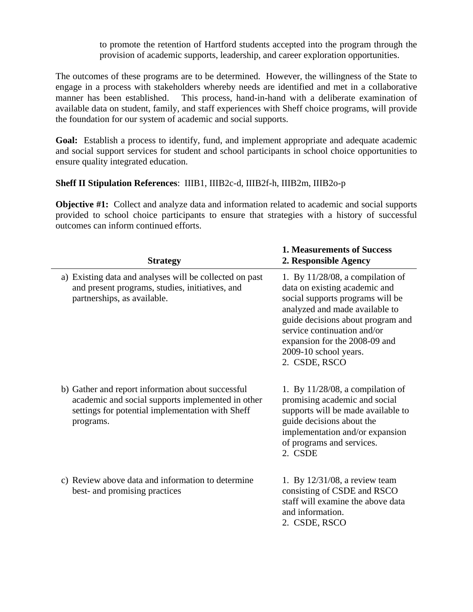to promote the retention of Hartford students accepted into the program through the provision of academic supports, leadership, and career exploration opportunities.

The outcomes of these programs are to be determined. However, the willingness of the State to engage in a process with stakeholders whereby needs are identified and met in a collaborative manner has been established. This process, hand-in-hand with a deliberate examination of available data on student, family, and staff experiences with Sheff choice programs, will provide the foundation for our system of academic and social supports.

**Goal:** Establish a process to identify, fund, and implement appropriate and adequate academic and social support services for student and school participants in school choice opportunities to ensure quality integrated education.

### **Sheff II Stipulation References**: IIIB1, IIIB2c-d, IIIB2f-h, IIIB2m, IIIB2o-p

**Objective #1:** Collect and analyze data and information related to academic and social supports provided to school choice participants to ensure that strategies with a history of successful outcomes can inform continued efforts.

| <b>Strategy</b>                                                                                                                                                         | <b>1. Measurements of Success</b><br>2. Responsible Agency                                                                                                                                                                                                                                |
|-------------------------------------------------------------------------------------------------------------------------------------------------------------------------|-------------------------------------------------------------------------------------------------------------------------------------------------------------------------------------------------------------------------------------------------------------------------------------------|
| a) Existing data and analyses will be collected on past<br>and present programs, studies, initiatives, and<br>partnerships, as available.                               | 1. By $11/28/08$ , a compilation of<br>data on existing academic and<br>social supports programs will be<br>analyzed and made available to<br>guide decisions about program and<br>service continuation and/or<br>expansion for the 2008-09 and<br>2009-10 school years.<br>2. CSDE, RSCO |
| b) Gather and report information about successful<br>academic and social supports implemented in other<br>settings for potential implementation with Sheff<br>programs. | 1. By $11/28/08$ , a compilation of<br>promising academic and social<br>supports will be made available to<br>guide decisions about the<br>implementation and/or expansion<br>of programs and services.<br>2. CSDE                                                                        |
| c) Review above data and information to determine<br>best- and promising practices                                                                                      | 1. By $12/31/08$ , a review team<br>consisting of CSDE and RSCO<br>staff will examine the above data<br>and information.<br>2. CSDE, RSCO                                                                                                                                                 |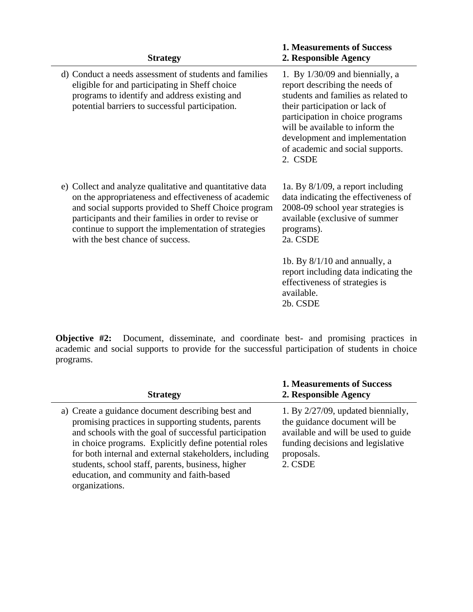| <b>Strategy</b>                                                                                                                                                                                                                                                                                                               | <b>1. Measurements of Success</b><br>2. Responsible Agency                                                                                                                                                                                                                                           |
|-------------------------------------------------------------------------------------------------------------------------------------------------------------------------------------------------------------------------------------------------------------------------------------------------------------------------------|------------------------------------------------------------------------------------------------------------------------------------------------------------------------------------------------------------------------------------------------------------------------------------------------------|
| d) Conduct a needs assessment of students and families<br>eligible for and participating in Sheff choice<br>programs to identify and address existing and<br>potential barriers to successful participation.                                                                                                                  | 1. By $1/30/09$ and biennially, a<br>report describing the needs of<br>students and families as related to<br>their participation or lack of<br>participation in choice programs<br>will be available to inform the<br>development and implementation<br>of academic and social supports.<br>2. CSDE |
| e) Collect and analyze qualitative and quantitative data<br>on the appropriateness and effectiveness of academic<br>and social supports provided to Sheff Choice program<br>participants and their families in order to revise or<br>continue to support the implementation of strategies<br>with the best chance of success. | 1a. By $8/1/09$ , a report including<br>data indicating the effectiveness of<br>2008-09 school year strategies is<br>available (exclusive of summer<br>programs).<br>2a. CSDE                                                                                                                        |
|                                                                                                                                                                                                                                                                                                                               | 1b. By $8/1/10$ and annually, a<br>report including data indicating the<br>effectiveness of strategies is<br>available.<br>2b. CSDE                                                                                                                                                                  |

**Objective #2:** Document, disseminate, and coordinate best- and promising practices in academic and social supports to provide for the successful participation of students in choice programs.

| <b>Strategy</b>                                                                                                                                                                                                                                                                                                                                                                                         | <b>1. Measurements of Success</b><br>2. Responsible Agency                                                                                                                  |
|---------------------------------------------------------------------------------------------------------------------------------------------------------------------------------------------------------------------------------------------------------------------------------------------------------------------------------------------------------------------------------------------------------|-----------------------------------------------------------------------------------------------------------------------------------------------------------------------------|
| a) Create a guidance document describing best and<br>promising practices in supporting students, parents<br>and schools with the goal of successful participation<br>in choice programs. Explicitly define potential roles<br>for both internal and external stakeholders, including<br>students, school staff, parents, business, higher<br>education, and community and faith-based<br>organizations. | 1. By $2/27/09$ , updated biennially,<br>the guidance document will be<br>available and will be used to guide<br>funding decisions and legislative<br>proposals.<br>2. CSDE |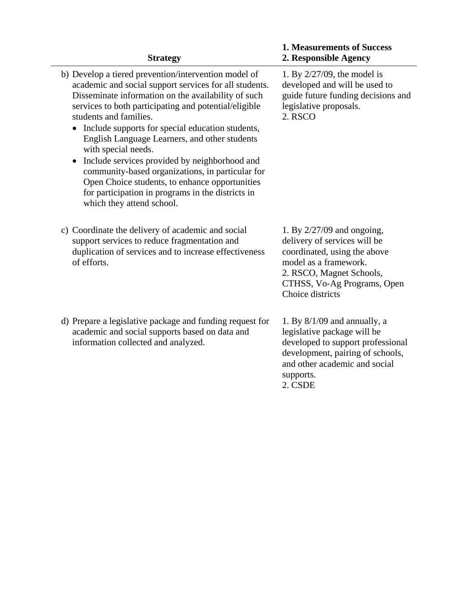| <b>Strategy</b>                                                                                                                                                                                                                                                                                                                                                                                                                                                                                                                                                                                                                            | <b>1. Measurements of Success</b><br>2. Responsible Agency                                                                                                                                           |
|--------------------------------------------------------------------------------------------------------------------------------------------------------------------------------------------------------------------------------------------------------------------------------------------------------------------------------------------------------------------------------------------------------------------------------------------------------------------------------------------------------------------------------------------------------------------------------------------------------------------------------------------|------------------------------------------------------------------------------------------------------------------------------------------------------------------------------------------------------|
| b) Develop a tiered prevention/intervention model of<br>academic and social support services for all students.<br>Disseminate information on the availability of such<br>services to both participating and potential/eligible<br>students and families.<br>Include supports for special education students,<br>$\bullet$<br>English Language Learners, and other students<br>with special needs.<br>Include services provided by neighborhood and<br>community-based organizations, in particular for<br>Open Choice students, to enhance opportunities<br>for participation in programs in the districts in<br>which they attend school. | 1. By $2/27/09$ , the model is<br>developed and will be used to<br>guide future funding decisions and<br>legislative proposals.<br>2. RSCO                                                           |
| c) Coordinate the delivery of academic and social<br>support services to reduce fragmentation and<br>duplication of services and to increase effectiveness<br>of efforts.                                                                                                                                                                                                                                                                                                                                                                                                                                                                  | 1. By $2/27/09$ and ongoing,<br>delivery of services will be<br>coordinated, using the above<br>model as a framework.<br>2. RSCO, Magnet Schools,<br>CTHSS, Vo-Ag Programs, Open<br>Choice districts |
| d) Prepare a legislative package and funding request for<br>academic and social supports based on data and<br>information collected and analyzed.                                                                                                                                                                                                                                                                                                                                                                                                                                                                                          | 1. By $8/1/09$ and annually, a<br>legislative package will be<br>developed to support professional<br>development, pairing of schools,<br>and other academic and social<br>supports.<br>2. CSDE      |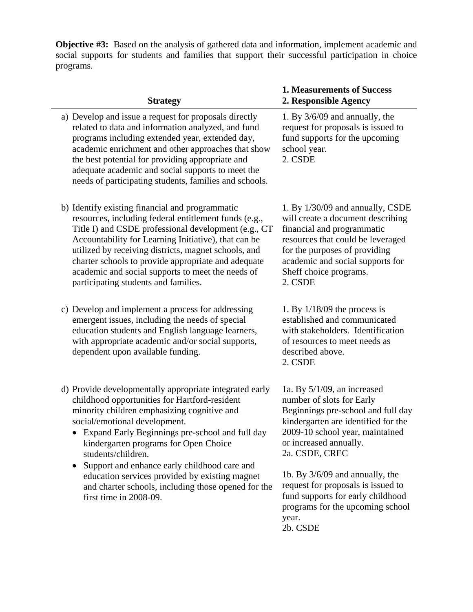**Objective #3:** Based on the analysis of gathered data and information, implement academic and social supports for students and families that support their successful participation in choice programs.

#### **Strategy**

- a) Develop and issue a request for proposals directly related to data and information analyzed, and fund programs including extended year, extended day, academic enrichment and other approaches that show the best potential for providing appropriate and adequate academic and social supports to meet the needs of participating students, families and schools.
- b) Identify existing financial and programmatic resources, including federal entitlement funds (e.g., Title I) and CSDE professional development (e.g., CT Accountability for Learning Initiative), that can be utilized by receiving districts, magnet schools, and charter schools to provide appropriate and adequate academic and social supports to meet the needs of participating students and families.
- c) Develop and implement a process for addressing emergent issues, including the needs of special education students and English language learners, with appropriate academic and/or social supports, dependent upon available funding.
- d) Provide developmentally appropriate integrated early childhood opportunities for Hartford-resident minority children emphasizing cognitive and social/emotional development.
	- Expand Early Beginnings pre-school and full day kindergarten programs for Open Choice students/children.
	- Support and enhance early childhood care and education services provided by existing magnet and charter schools, including those opened for the first time in 2008-09.

### **1. Measurements of Success 2. Responsible Agency**

1. By 3/6/09 and annually, the request for proposals is issued to fund supports for the upcoming school year. 2. CSDE

1. By 1/30/09 and annually, CSDE will create a document describing financial and programmatic resources that could be leveraged for the purposes of providing academic and social supports for Sheff choice programs. 2. CSDE

1. By 1/18/09 the process is established and communicated with stakeholders. Identification of resources to meet needs as described above. 2. CSDE

1a. By 5/1/09, an increased number of slots for Early Beginnings pre-school and full day kindergarten are identified for the 2009-10 school year, maintained or increased annually. 2a. CSDE, CREC

1b. By 3/6/09 and annually, the request for proposals is issued to fund supports for early childhood programs for the upcoming school year. 2b. CSDE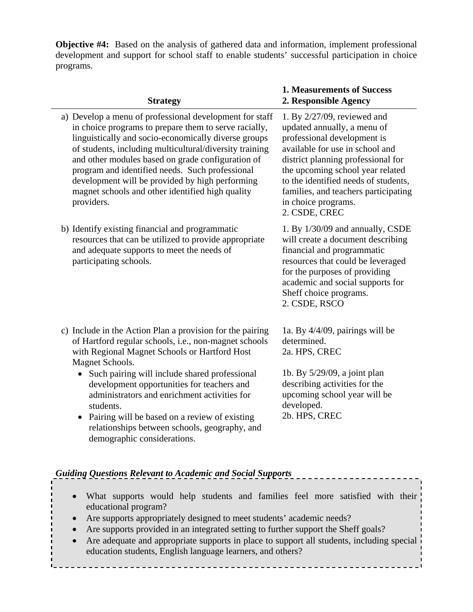**Objective #4:** Based on the analysis of gathered data and information, implement professional development and support for school staff to enable students' successful participation in choice programs.

### **Strategy**

- a) Develop a menu of professional development for staff in choice programs to prepare them to serve racially, linguistically and socio-economically diverse groups of students, including multicultural/diversity training and other modules based on grade configuration of program and identified needs. Such professional development will be provided by high performing magnet schools and other identified high quality providers.
- b) Identify existing financial and programmatic resources that can be utilized to provide appropriate and adequate supports to meet the needs of participating schools.
- c) Include in the Action Plan a provision for the pairing of Hartford regular schools, i.e., non-magnet schools with Regional Magnet Schools or Hartford Host Magnet Schools.
	- Such pairing will include shared professional development opportunities for teachers and administrators and enrichment activities for students.
	- Pairing will be based on a review of existing relationships between schools, geography, and demographic considerations.

### **1. Measurements of Success 2. Responsible Agency**

1. By 2/27/09, reviewed and updated annually, a menu of professional development is available for use in school and district planning professional for the upcoming school year related to the identified needs of students, families, and teachers participating in choice programs. 2. CSDE, CREC

1. By 1/30/09 and annually, CSDE will create a document describing financial and programmatic resources that could be leveraged for the purposes of providing academic and social supports for Sheff choice programs. 2. CSDE, RSCO

1a. By 4/4/09, pairings will be determined. 2a. HPS, CREC

1b. By 5/29/09, a joint plan describing activities for the upcoming school year will be developed. 2b. HPS, CREC

### *Guiding Questions Relevant to Academic and Social Supports*

- What supports would help students and families feel more satisfied with their educational program?
- Are supports appropriately designed to meet students' academic needs?
- Are supports provided in an integrated setting to further support the Sheff goals?
- Are adequate and appropriate supports in place to support all students, including special education students, English language learners, and others?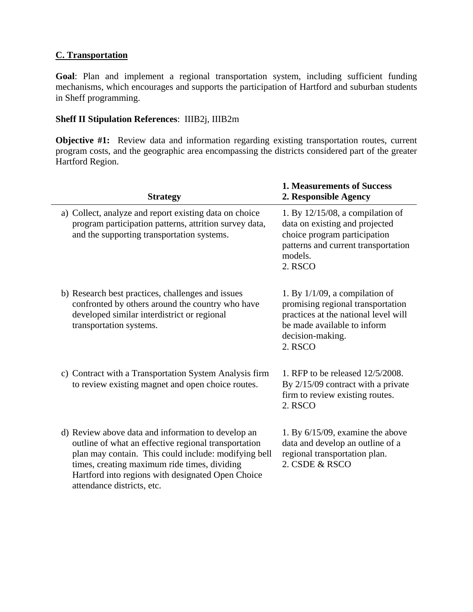### **C. Transportation**

**Goal**: Plan and implement a regional transportation system, including sufficient funding mechanisms, which encourages and supports the participation of Hartford and suburban students in Sheff programming.

### **Sheff II Stipulation References**: IIIB2j, IIIB2m

**Objective #1:** Review data and information regarding existing transportation routes, current program costs, and the geographic area encompassing the districts considered part of the greater Hartford Region.

| <b>Strategy</b>                                                                                                                                                                                                                                                                                       | <b>1. Measurements of Success</b><br>2. Responsible Agency                                                                                                                   |
|-------------------------------------------------------------------------------------------------------------------------------------------------------------------------------------------------------------------------------------------------------------------------------------------------------|------------------------------------------------------------------------------------------------------------------------------------------------------------------------------|
| a) Collect, analyze and report existing data on choice<br>program participation patterns, attrition survey data,<br>and the supporting transportation systems.                                                                                                                                        | 1. By $12/15/08$ , a compilation of<br>data on existing and projected<br>choice program participation<br>patterns and current transportation<br>models.<br>2. RSCO           |
| b) Research best practices, challenges and issues<br>confronted by others around the country who have<br>developed similar interdistrict or regional<br>transportation systems.                                                                                                                       | 1. By $1/1/09$ , a compilation of<br>promising regional transportation<br>practices at the national level will<br>be made available to inform<br>decision-making.<br>2. RSCO |
| c) Contract with a Transportation System Analysis firm<br>to review existing magnet and open choice routes.                                                                                                                                                                                           | 1. RFP to be released 12/5/2008.<br>By $2/15/09$ contract with a private<br>firm to review existing routes.<br>2. RSCO                                                       |
| d) Review above data and information to develop an<br>outline of what an effective regional transportation<br>plan may contain. This could include: modifying bell<br>times, creating maximum ride times, dividing<br>Hartford into regions with designated Open Choice<br>attendance districts, etc. | 1. By $6/15/09$ , examine the above<br>data and develop an outline of a<br>regional transportation plan.<br>2. CSDE & RSCO                                                   |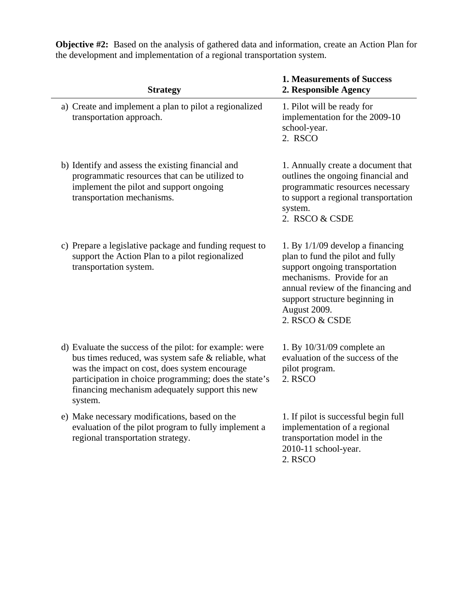**Objective #2:** Based on the analysis of gathered data and information, create an Action Plan for the development and implementation of a regional transportation system.

| <b>Strategy</b>                                                                                                                                                                                                                                                                        | <b>1. Measurements of Success</b><br>2. Responsible Agency                                                                                                                                                                                       |
|----------------------------------------------------------------------------------------------------------------------------------------------------------------------------------------------------------------------------------------------------------------------------------------|--------------------------------------------------------------------------------------------------------------------------------------------------------------------------------------------------------------------------------------------------|
| a) Create and implement a plan to pilot a regionalized<br>transportation approach.                                                                                                                                                                                                     | 1. Pilot will be ready for<br>implementation for the 2009-10<br>school-year.<br>2. RSCO                                                                                                                                                          |
| b) Identify and assess the existing financial and<br>programmatic resources that can be utilized to<br>implement the pilot and support ongoing<br>transportation mechanisms.                                                                                                           | 1. Annually create a document that<br>outlines the ongoing financial and<br>programmatic resources necessary<br>to support a regional transportation<br>system.<br>2. RSCO & CSDE                                                                |
| c) Prepare a legislative package and funding request to<br>support the Action Plan to a pilot regionalized<br>transportation system.                                                                                                                                                   | 1. By $1/1/09$ develop a financing<br>plan to fund the pilot and fully<br>support ongoing transportation<br>mechanisms. Provide for an<br>annual review of the financing and<br>support structure beginning in<br>August 2009.<br>2. RSCO & CSDE |
| d) Evaluate the success of the pilot: for example: were<br>bus times reduced, was system safe & reliable, what<br>was the impact on cost, does system encourage<br>participation in choice programming; does the state's<br>financing mechanism adequately support this new<br>system. | 1. By $10/31/09$ complete an<br>evaluation of the success of the<br>pilot program.<br>2. RSCO                                                                                                                                                    |
| e) Make necessary modifications, based on the<br>evaluation of the pilot program to fully implement a<br>regional transportation strategy.                                                                                                                                             | 1. If pilot is successful begin full<br>implementation of a regional<br>transportation model in the<br>2010-11 school-year.<br>2. RSCO                                                                                                           |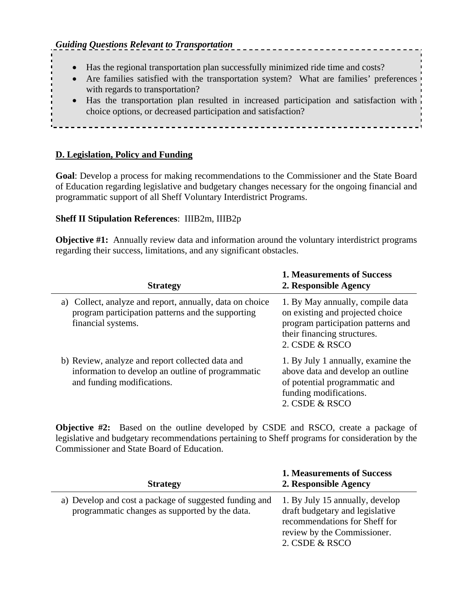- Has the regional transportation plan successfully minimized ride time and costs?
- Are families satisfied with the transportation system? What are families' preferences with regards to transportation?

---------------

• Has the transportation plan resulted in increased participation and satisfaction with choice options, or decreased participation and satisfaction?

### **D. Legislation, Policy and Funding**

**Goal**: Develop a process for making recommendations to the Commissioner and the State Board of Education regarding legislative and budgetary changes necessary for the ongoing financial and programmatic support of all Sheff Voluntary Interdistrict Programs.

### **Sheff II Stipulation References**: IIIB2m, IIIB2p

**Objective #1:** Annually review data and information around the voluntary interdistrict programs regarding their success, limitations, and any significant obstacles.

| <b>Strategy</b>                                                                                                                     | <b>1. Measurements of Success</b><br>2. Responsible Agency                                                                                                  |
|-------------------------------------------------------------------------------------------------------------------------------------|-------------------------------------------------------------------------------------------------------------------------------------------------------------|
| a) Collect, analyze and report, annually, data on choice<br>program participation patterns and the supporting<br>financial systems. | 1. By May annually, compile data<br>on existing and projected choice<br>program participation patterns and<br>their financing structures.<br>2. CSDE & RSCO |
| b) Review, analyze and report collected data and<br>information to develop an outline of programmatic<br>and funding modifications. | 1. By July 1 annually, examine the<br>above data and develop an outline<br>of potential programmatic and<br>funding modifications.<br>2. CSDE & RSCO        |

**Objective #2:** Based on the outline developed by CSDE and RSCO, create a package of legislative and budgetary recommendations pertaining to Sheff programs for consideration by the Commissioner and State Board of Education.

| <b>Strategy</b>                                                                                          | <b>1. Measurements of Success</b><br>2. Responsible Agency                                                                                           |
|----------------------------------------------------------------------------------------------------------|------------------------------------------------------------------------------------------------------------------------------------------------------|
| a) Develop and cost a package of suggested funding and<br>programmatic changes as supported by the data. | 1. By July 15 annually, develop<br>draft budgetary and legislative<br>recommendations for Sheff for<br>review by the Commissioner.<br>2. CSDE & RSCO |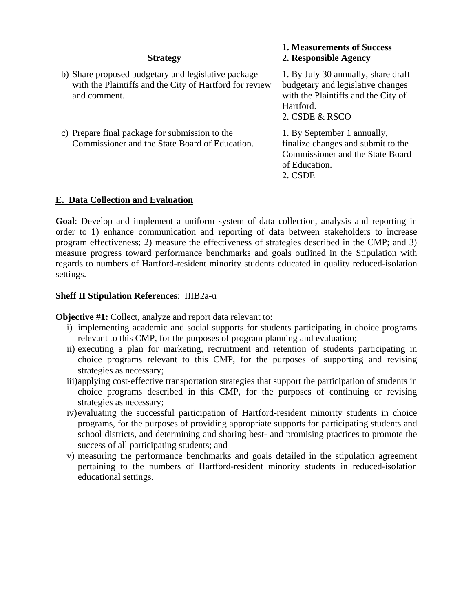| <b>Strategy</b>                                                                                                                | <b>1. Measurements of Success</b><br>2. Responsible Agency                                                                                     |
|--------------------------------------------------------------------------------------------------------------------------------|------------------------------------------------------------------------------------------------------------------------------------------------|
| b) Share proposed budgetary and legislative package<br>with the Plaintiffs and the City of Hartford for review<br>and comment. | 1. By July 30 annually, share draft<br>budgetary and legislative changes<br>with the Plaintiffs and the City of<br>Hartford.<br>2. CSDE & RSCO |
| c) Prepare final package for submission to the<br>Commissioner and the State Board of Education.                               | 1. By September 1 annually,<br>finalize changes and submit to the<br><b>Commissioner and the State Board</b><br>of Education.<br>2. CSDE       |

### **E. Data Collection and Evaluation**

**Goal**: Develop and implement a uniform system of data collection, analysis and reporting in order to 1) enhance communication and reporting of data between stakeholders to increase program effectiveness; 2) measure the effectiveness of strategies described in the CMP; and 3) measure progress toward performance benchmarks and goals outlined in the Stipulation with regards to numbers of Hartford-resident minority students educated in quality reduced-isolation settings.

### **Sheff II Stipulation References**: IIIB2a-u

**Objective #1:** Collect, analyze and report data relevant to:

- i) implementing academic and social supports for students participating in choice programs relevant to this CMP, for the purposes of program planning and evaluation;
- ii) executing a plan for marketing, recruitment and retention of students participating in choice programs relevant to this CMP, for the purposes of supporting and revising strategies as necessary;
- iii)applying cost-effective transportation strategies that support the participation of students in choice programs described in this CMP, for the purposes of continuing or revising strategies as necessary;
- iv)evaluating the successful participation of Hartford-resident minority students in choice programs, for the purposes of providing appropriate supports for participating students and school districts, and determining and sharing best- and promising practices to promote the success of all participating students; and
- v) measuring the performance benchmarks and goals detailed in the stipulation agreement pertaining to the numbers of Hartford-resident minority students in reduced-isolation educational settings.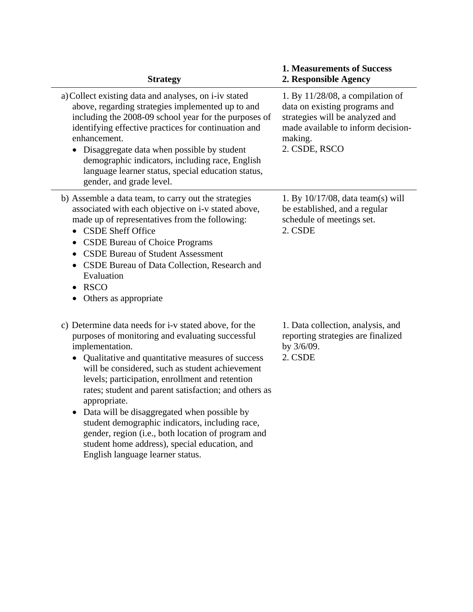| <b>Strategy</b>                                                                                                                                                                                                                                                                                                                                                                                                                                                                                                                                                                                              | <b>1. Measurements of Success</b><br>2. Responsible Agency                                                                                                                |
|--------------------------------------------------------------------------------------------------------------------------------------------------------------------------------------------------------------------------------------------------------------------------------------------------------------------------------------------------------------------------------------------------------------------------------------------------------------------------------------------------------------------------------------------------------------------------------------------------------------|---------------------------------------------------------------------------------------------------------------------------------------------------------------------------|
| a) Collect existing data and analyses, on i-iv stated<br>above, regarding strategies implemented up to and<br>including the 2008-09 school year for the purposes of<br>identifying effective practices for continuation and<br>enhancement.<br>Disaggregate data when possible by student<br>demographic indicators, including race, English<br>language learner status, special education status,<br>gender, and grade level.                                                                                                                                                                               | 1. By $11/28/08$ , a compilation of<br>data on existing programs and<br>strategies will be analyzed and<br>made available to inform decision-<br>making.<br>2. CSDE, RSCO |
| b) Assemble a data team, to carry out the strategies<br>associated with each objective on i-v stated above,<br>made up of representatives from the following:<br><b>CSDE Sheff Office</b><br><b>CSDE Bureau of Choice Programs</b><br><b>CSDE Bureau of Student Assessment</b><br>$\bullet$<br>CSDE Bureau of Data Collection, Research and<br>Evaluation<br><b>RSCO</b><br>Others as appropriate                                                                                                                                                                                                            | 1. By $10/17/08$ , data team(s) will<br>be established, and a regular<br>schedule of meetings set.<br>2. CSDE                                                             |
| c) Determine data needs for i-v stated above, for the<br>purposes of monitoring and evaluating successful<br>implementation.<br>Qualitative and quantitative measures of success<br>will be considered, such as student achievement<br>levels; participation, enrollment and retention<br>rates; student and parent satisfaction; and others as<br>appropriate.<br>Data will be disaggregated when possible by<br>student demographic indicators, including race,<br>gender, region (i.e., both location of program and<br>student home address), special education, and<br>English language learner status. | 1. Data collection, analysis, and<br>reporting strategies are finalized<br>by 3/6/09.<br>2. CSDE                                                                          |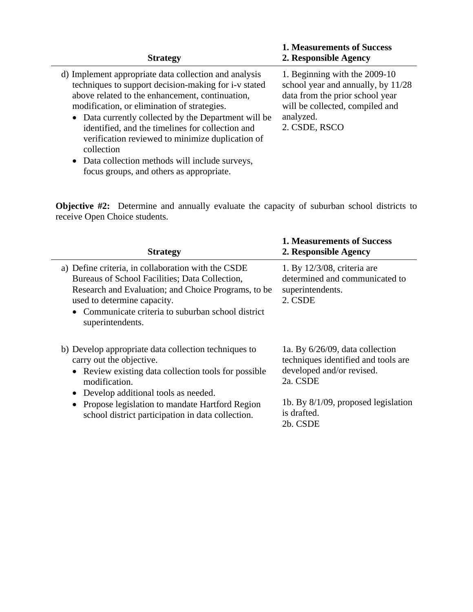| <b>Strategy</b>                                                                                                                                                                                                                                                                                                                                                                                                                                                                                         | <b>1. Measurements of Success</b><br>2. Responsible Agency                                                                                                              |
|---------------------------------------------------------------------------------------------------------------------------------------------------------------------------------------------------------------------------------------------------------------------------------------------------------------------------------------------------------------------------------------------------------------------------------------------------------------------------------------------------------|-------------------------------------------------------------------------------------------------------------------------------------------------------------------------|
| d) Implement appropriate data collection and analysis<br>techniques to support decision-making for i-v stated<br>above related to the enhancement, continuation,<br>modification, or elimination of strategies.<br>Data currently collected by the Department will be<br>$\bullet$<br>identified, and the timelines for collection and<br>verification reviewed to minimize duplication of<br>collection<br>• Data collection methods will include surveys,<br>focus groups, and others as appropriate. | 1. Beginning with the 2009-10<br>school year and annually, by 11/28<br>data from the prior school year<br>will be collected, compiled and<br>analyzed.<br>2. CSDE, RSCO |

**Objective #2:** Determine and annually evaluate the capacity of suburban school districts to receive Open Choice students.

| <b>Strategy</b>                                                                                                                                                                                                                                                      | <b>1. Measurements of Success</b><br>2. Responsible Agency                                                         |
|----------------------------------------------------------------------------------------------------------------------------------------------------------------------------------------------------------------------------------------------------------------------|--------------------------------------------------------------------------------------------------------------------|
| a) Define criteria, in collaboration with the CSDE<br>Bureaus of School Facilities; Data Collection,<br>Research and Evaluation; and Choice Programs, to be<br>used to determine capacity.<br>• Communicate criteria to suburban school district<br>superintendents. | 1. By $12/3/08$ , criteria are<br>determined and communicated to<br>superintendents.<br>2. CSDE                    |
| b) Develop appropriate data collection techniques to<br>carry out the objective.<br>Review existing data collection tools for possible<br>$\bullet$<br>modification.<br>Develop additional tools as needed.                                                          | 1a. By $6/26/09$ , data collection<br>techniques identified and tools are<br>developed and/or revised.<br>2a. CSDE |
| Propose legislation to mandate Hartford Region<br>school district participation in data collection.                                                                                                                                                                  | 1b. By $8/1/09$ , proposed legislation<br>is drafted.<br>2b. CSDE                                                  |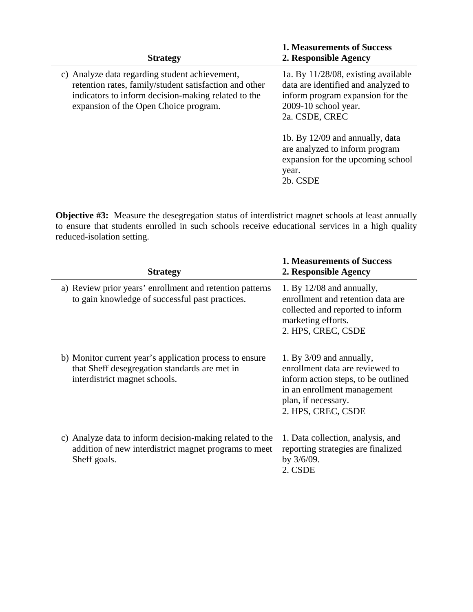| <b>Strategy</b>                                                                                                                                                                                          | <b>1. Measurements of Success</b><br>2. Responsible Agency                                                                                                  |
|----------------------------------------------------------------------------------------------------------------------------------------------------------------------------------------------------------|-------------------------------------------------------------------------------------------------------------------------------------------------------------|
| c) Analyze data regarding student achievement,<br>retention rates, family/student satisfaction and other<br>indicators to inform decision-making related to the<br>expansion of the Open Choice program. | 1a. By $11/28/08$ , existing available<br>data are identified and analyzed to<br>inform program expansion for the<br>2009-10 school year.<br>2a. CSDE, CREC |
|                                                                                                                                                                                                          | 1b. By 12/09 and annually, data<br>are analyzed to inform program<br>expansion for the upcoming school<br>year.<br>2b. CSDE                                 |

**Objective #3:** Measure the desegregation status of interdistrict magnet schools at least annually to ensure that students enrolled in such schools receive educational services in a high quality reduced-isolation setting.

| <b>Strategy</b>                                                                                                                           | <b>1. Measurements of Success</b><br>2. Responsible Agency                                                                                                                       |
|-------------------------------------------------------------------------------------------------------------------------------------------|----------------------------------------------------------------------------------------------------------------------------------------------------------------------------------|
| a) Review prior years' enrollment and retention patterns<br>to gain knowledge of successful past practices.                               | 1. By $12/08$ and annually,<br>enrollment and retention data are<br>collected and reported to inform<br>marketing efforts.<br>2. HPS, CREC, CSDE                                 |
| b) Monitor current year's application process to ensure<br>that Sheff desegregation standards are met in<br>interdistrict magnet schools. | 1. By $3/09$ and annually,<br>enrollment data are reviewed to<br>inform action steps, to be outlined<br>in an enrollment management<br>plan, if necessary.<br>2. HPS, CREC, CSDE |
| c) Analyze data to inform decision-making related to the<br>addition of new interdistrict magnet programs to meet<br>Sheff goals.         | 1. Data collection, analysis, and<br>reporting strategies are finalized<br>by $3/6/09$ .<br>2. CSDE                                                                              |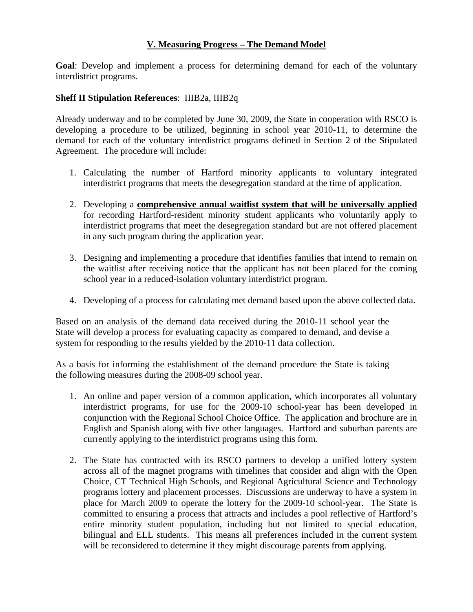### **V. Measuring Progress – The Demand Model**

**Goal**: Develop and implement a process for determining demand for each of the voluntary interdistrict programs.

### **Sheff II Stipulation References**: IIIB2a, IIIB2q

Already underway and to be completed by June 30, 2009, the State in cooperation with RSCO is developing a procedure to be utilized, beginning in school year 2010-11, to determine the demand for each of the voluntary interdistrict programs defined in Section 2 of the Stipulated Agreement. The procedure will include:

- 1. Calculating the number of Hartford minority applicants to voluntary integrated interdistrict programs that meets the desegregation standard at the time of application.
- 2. Developing a **comprehensive annual waitlist system that will be universally applied** for recording Hartford-resident minority student applicants who voluntarily apply to interdistrict programs that meet the desegregation standard but are not offered placement in any such program during the application year.
- 3. Designing and implementing a procedure that identifies families that intend to remain on the waitlist after receiving notice that the applicant has not been placed for the coming school year in a reduced-isolation voluntary interdistrict program.
- 4. Developing of a process for calculating met demand based upon the above collected data.

Based on an analysis of the demand data received during the 2010-11 school year the State will develop a process for evaluating capacity as compared to demand, and devise a system for responding to the results yielded by the 2010-11 data collection.

As a basis for informing the establishment of the demand procedure the State is taking the following measures during the 2008-09 school year.

- 1. An online and paper version of a common application, which incorporates all voluntary interdistrict programs, for use for the 2009-10 school-year has been developed in conjunction with the Regional School Choice Office. The application and brochure are in English and Spanish along with five other languages. Hartford and suburban parents are currently applying to the interdistrict programs using this form.
- 2. The State has contracted with its RSCO partners to develop a unified lottery system across all of the magnet programs with timelines that consider and align with the Open Choice, CT Technical High Schools, and Regional Agricultural Science and Technology programs lottery and placement processes. Discussions are underway to have a system in place for March 2009 to operate the lottery for the 2009-10 school-year. The State is committed to ensuring a process that attracts and includes a pool reflective of Hartford's entire minority student population, including but not limited to special education, bilingual and ELL students. This means all preferences included in the current system will be reconsidered to determine if they might discourage parents from applying.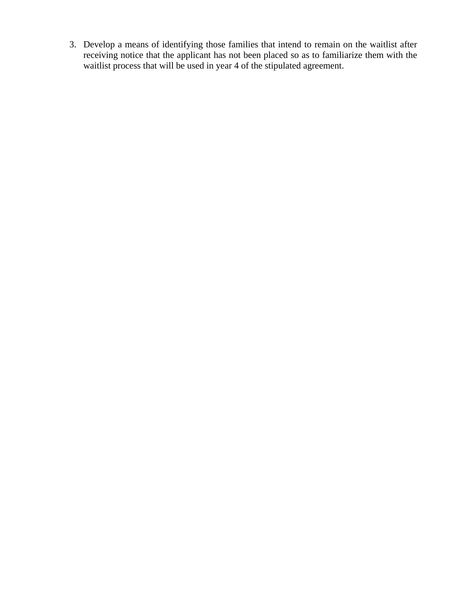3. Develop a means of identifying those families that intend to remain on the waitlist after receiving notice that the applicant has not been placed so as to familiarize them with the waitlist process that will be used in year 4 of the stipulated agreement.